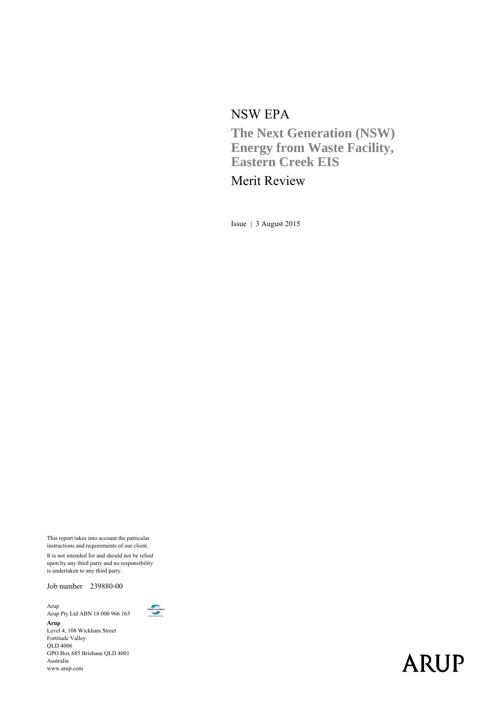#### NSW EPA

**The Next Generation (NSW) Energy from Waste Facility, Eastern Creek EIS** 

## Merit Review

Issue | 3 August 2015

This report takes into account the particular instructions and requirements of our client.

It is not intended for and should not be relied upon by any third party and no responsibility is undertaken to any third party.

Job number 239880-00

Arup Arup Pty Ltd ABN 18 000 966 165 **Arup**  Level 4, 108 Wickham Street Fortitude Valley QLD 4006 GPO Box 685 Brisbane QLD 4001 Australia www.arup.com



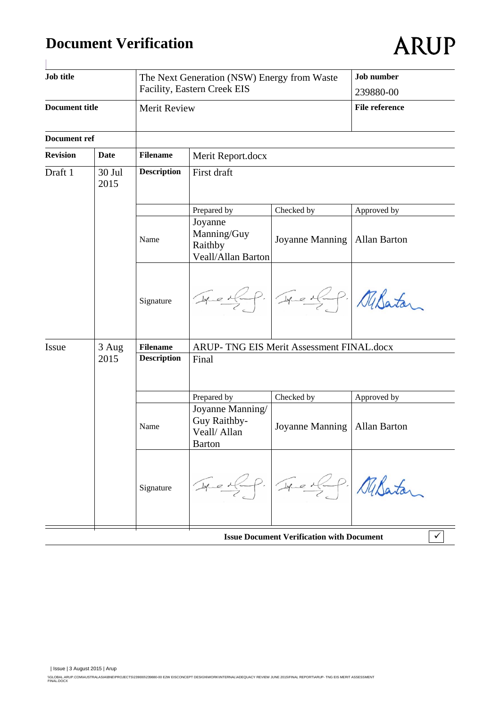# **Document Verification**

| Job title                                                      |       |                    | The Next Generation (NSW) Energy from Waste<br>Facility, Eastern Creek EIS | Job number<br>239880-00                          |                     |
|----------------------------------------------------------------|-------|--------------------|----------------------------------------------------------------------------|--------------------------------------------------|---------------------|
| <b>Document title</b>                                          |       | Merit Review       |                                                                            | <b>File reference</b>                            |                     |
| Document ref                                                   |       |                    |                                                                            |                                                  |                     |
| <b>Revision</b>                                                | Date  | <b>Filename</b>    | Merit Report.docx                                                          |                                                  |                     |
| Draft 1<br>First draft<br>30 Jul<br><b>Description</b><br>2015 |       |                    |                                                                            |                                                  |                     |
|                                                                |       |                    | Prepared by                                                                | Checked by                                       | Approved by         |
|                                                                |       | Name               | Joyanne<br>Manning/Guy<br>Raithby<br>Veall/Allan Barton                    | Joyanne Manning                                  | <b>Allan Barton</b> |
|                                                                |       | Signature          | Treiff Treiff Nilston                                                      |                                                  |                     |
| Issue                                                          | 3 Aug | <b>Filename</b>    | ARUP- TNG EIS Merit Assessment FINAL.docx                                  |                                                  |                     |
|                                                                | 2015  | <b>Description</b> | Final                                                                      |                                                  |                     |
|                                                                |       |                    | Prepared by                                                                | Checked by                                       | Approved by         |
|                                                                |       | Name               | Joyanne Manning/<br>Guy Raithby-<br>Veall/ Allan<br><b>Barton</b>          | Joyanne Manning   Allan Barton                   |                     |
|                                                                |       | Signature          |                                                                            | Tre of P. Milatar                                |                     |
|                                                                |       |                    |                                                                            | <b>Issue Document Verification with Document</b> | $\checkmark$        |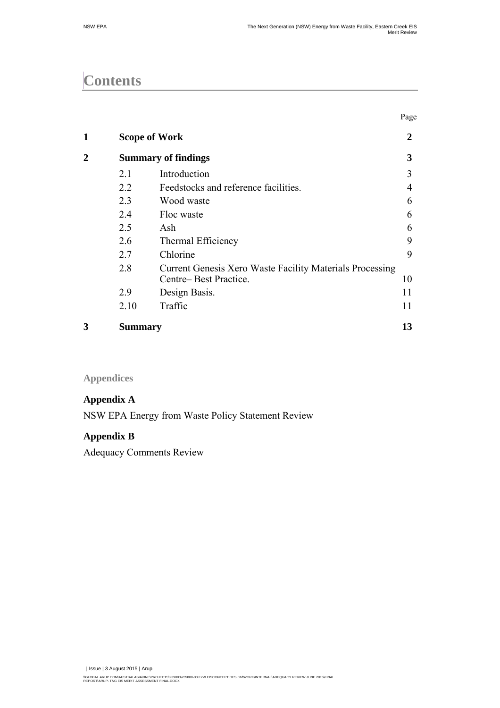Page

# **Contents**

|   |                |                                                                 | - סיי            |
|---|----------------|-----------------------------------------------------------------|------------------|
| 1 |                | <b>Scope of Work</b>                                            | $\boldsymbol{2}$ |
|   |                | <b>Summary of findings</b>                                      | 3                |
|   | 2.1            | Introduction                                                    | 3                |
|   | 2.2            | Feedstocks and reference facilities.                            | 4                |
|   | 2.3            | Wood waste                                                      | 6                |
|   | 2.4            | Floc waste                                                      | 6                |
|   | 2.5            | Ash                                                             | 6                |
|   | 2.6            | Thermal Efficiency                                              | 9                |
|   | 2.7            | Chlorine                                                        | 9                |
|   | 2.8            | <b>Current Genesis Xero Waste Facility Materials Processing</b> |                  |
|   |                | Centre-Best Practice.                                           | 10               |
|   | 2.9            | Design Basis.                                                   | 11               |
|   | 2.10           | Traffic                                                         | 11               |
| 3 | <b>Summary</b> |                                                                 | 13               |

**Appendices** 

#### **Appendix A**

NSW EPA Energy from Waste Policy Statement Review

#### **Appendix B**

Adequacy Comments Review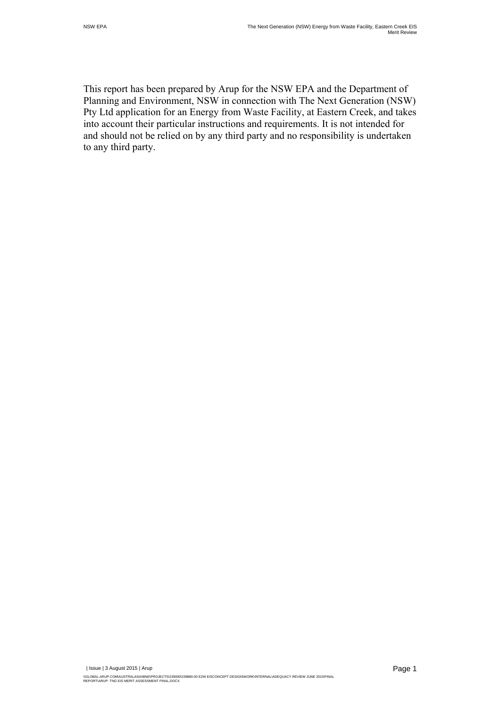This report has been prepared by Arup for the NSW EPA and the Department of Planning and Environment, NSW in connection with The Next Generation (NSW) Pty Ltd application for an Energy from Waste Facility, at Eastern Creek, and takes into account their particular instructions and requirements. It is not intended for and should not be relied on by any third party and no responsibility is undertaken to any third party.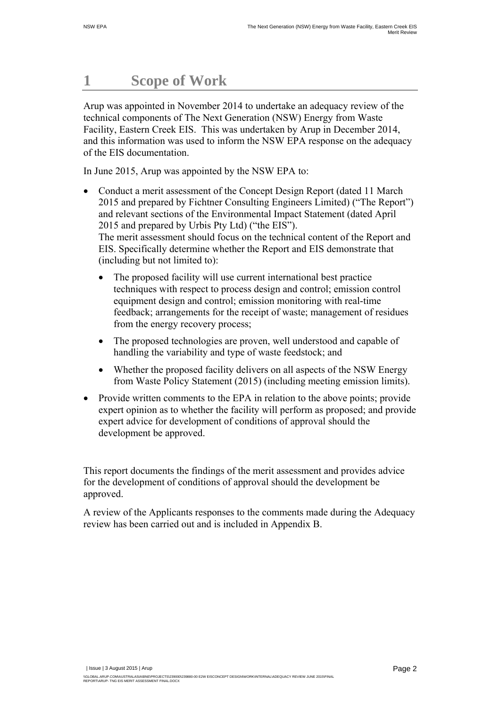# **1 Scope of Work**

Arup was appointed in November 2014 to undertake an adequacy review of the technical components of The Next Generation (NSW) Energy from Waste Facility, Eastern Creek EIS. This was undertaken by Arup in December 2014, and this information was used to inform the NSW EPA response on the adequacy of the EIS documentation.

In June 2015, Arup was appointed by the NSW EPA to:

- Conduct a merit assessment of the Concept Design Report (dated 11 March 2015 and prepared by Fichtner Consulting Engineers Limited) ("The Report") and relevant sections of the Environmental Impact Statement (dated April 2015 and prepared by Urbis Pty Ltd) ("the EIS"). The merit assessment should focus on the technical content of the Report and EIS. Specifically determine whether the Report and EIS demonstrate that (including but not limited to):
	- The proposed facility will use current international best practice techniques with respect to process design and control; emission control equipment design and control; emission monitoring with real-time feedback; arrangements for the receipt of waste; management of residues from the energy recovery process;
	- The proposed technologies are proven, well understood and capable of handling the variability and type of waste feedstock; and
	- Whether the proposed facility delivers on all aspects of the NSW Energy from Waste Policy Statement (2015) (including meeting emission limits).
- Provide written comments to the EPA in relation to the above points; provide expert opinion as to whether the facility will perform as proposed; and provide expert advice for development of conditions of approval should the development be approved.

This report documents the findings of the merit assessment and provides advice for the development of conditions of approval should the development be approved.

A review of the Applicants responses to the comments made during the Adequacy review has been carried out and is included in Appendix B.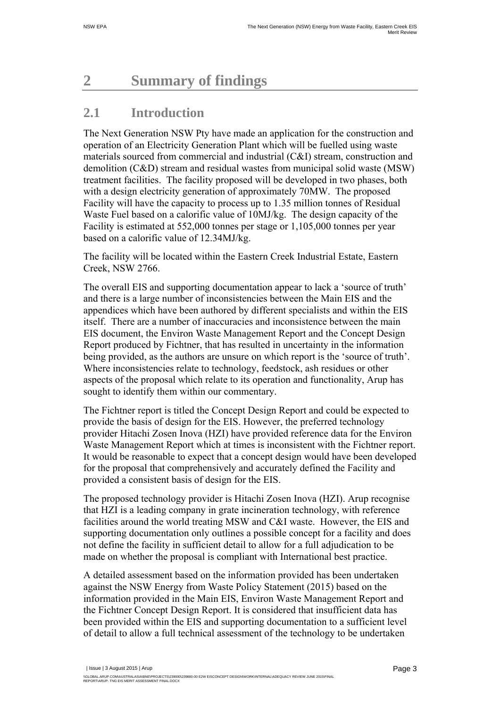# **2 Summary of findings**

## **2.1 Introduction**

The Next Generation NSW Pty have made an application for the construction and operation of an Electricity Generation Plant which will be fuelled using waste materials sourced from commercial and industrial (C&I) stream, construction and demolition (C&D) stream and residual wastes from municipal solid waste (MSW) treatment facilities. The facility proposed will be developed in two phases, both with a design electricity generation of approximately 70MW. The proposed Facility will have the capacity to process up to 1.35 million tonnes of Residual Waste Fuel based on a calorific value of 10MJ/kg. The design capacity of the Facility is estimated at 552,000 tonnes per stage or 1,105,000 tonnes per year based on a calorific value of 12.34MJ/kg.

The facility will be located within the Eastern Creek Industrial Estate, Eastern Creek, NSW 2766.

The overall EIS and supporting documentation appear to lack a 'source of truth' and there is a large number of inconsistencies between the Main EIS and the appendices which have been authored by different specialists and within the EIS itself. There are a number of inaccuracies and inconsistence between the main EIS document, the Environ Waste Management Report and the Concept Design Report produced by Fichtner, that has resulted in uncertainty in the information being provided, as the authors are unsure on which report is the 'source of truth'. Where inconsistencies relate to technology, feedstock, ash residues or other aspects of the proposal which relate to its operation and functionality, Arup has sought to identify them within our commentary.

The Fichtner report is titled the Concept Design Report and could be expected to provide the basis of design for the EIS. However, the preferred technology provider Hitachi Zosen Inova (HZI) have provided reference data for the Environ Waste Management Report which at times is inconsistent with the Fichtner report. It would be reasonable to expect that a concept design would have been developed for the proposal that comprehensively and accurately defined the Facility and provided a consistent basis of design for the EIS.

The proposed technology provider is Hitachi Zosen Inova (HZI). Arup recognise that HZI is a leading company in grate incineration technology, with reference facilities around the world treating MSW and C&I waste. However, the EIS and supporting documentation only outlines a possible concept for a facility and does not define the facility in sufficient detail to allow for a full adjudication to be made on whether the proposal is compliant with International best practice.

A detailed assessment based on the information provided has been undertaken against the NSW Energy from Waste Policy Statement (2015) based on the information provided in the Main EIS, Environ Waste Management Report and the Fichtner Concept Design Report. It is considered that insufficient data has been provided within the EIS and supporting documentation to a sufficient level of detail to allow a full technical assessment of the technology to be undertaken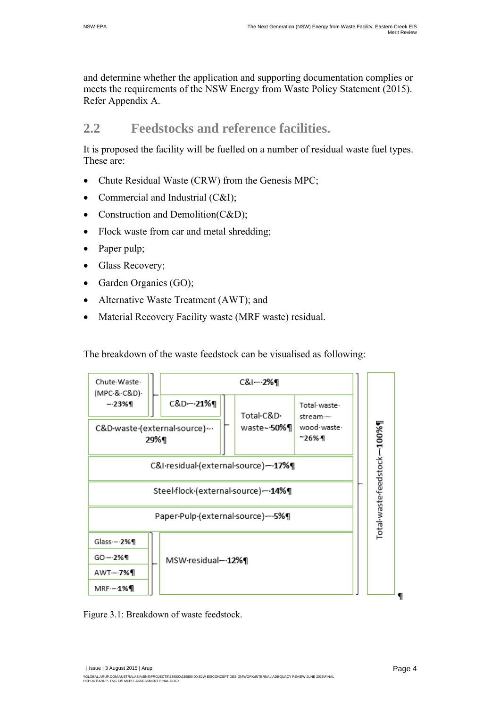and determine whether the application and supporting documentation complies or meets the requirements of the NSW Energy from Waste Policy Statement (2015). Refer Appendix A.

#### **2.2 Feedstocks and reference facilities.**

It is proposed the facility will be fuelled on a number of residual waste fuel types. These are:

- Chute Residual Waste (CRW) from the Genesis MPC;
- Commercial and Industrial (C&I);
- Construction and Demolition(C&D);
- Flock waste from car and metal shredding;
- Paper pulp;
- Glass Recovery;
- Garden Organics (GO);
- Alternative Waste Treatment (AWT); and
- Material Recovery Facility waste (MRF waste) residual.

The breakdown of the waste feedstock can be visualised as following:



Figure 3.1: Breakdown of waste feedstock.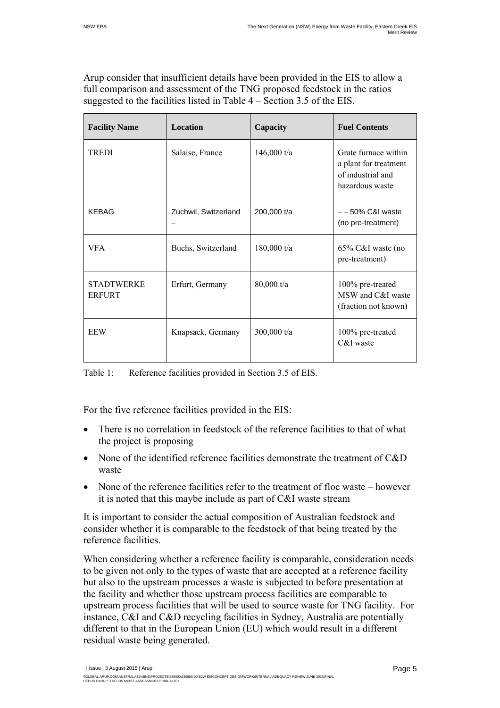Arup consider that insufficient details have been provided in the EIS to allow a full comparison and assessment of the TNG proposed feedstock in the ratios suggested to the facilities listed in Table 4 – Section 3.5 of the EIS.

| <b>Facility Name</b>               | Location             | Capacity      | <b>Fuel Contents</b>                                                                  |
|------------------------------------|----------------------|---------------|---------------------------------------------------------------------------------------|
| TREDI                              | Salaise, France      | 146,000 $t/a$ | Grate furnace within<br>a plant for treatment<br>of industrial and<br>hazardous waste |
| <b>KEBAG</b>                       | Zuchwil, Switzerland | 200,000 t/a   | $-$ - 50% C&I waste<br>(no pre-treatment)                                             |
| <b>VFA</b>                         | Buchs, Switzerland   | $180,000$ t/a | 65% C&I waste (no<br>pre-treatment)                                                   |
| <b>STADTWERKE</b><br><b>ERFURT</b> | Erfurt, Germany      | 80,000 t/a    | 100% pre-treated<br>MSW and C&I waste<br>(fraction not known)                         |
| EEW                                | Knapsack, Germany    | 300,000 t/a   | 100% pre-treated<br>C&I waste                                                         |

Table 1: Reference facilities provided in Section 3.5 of EIS.

For the five reference facilities provided in the EIS:

- There is no correlation in feedstock of the reference facilities to that of what the project is proposing
- None of the identified reference facilities demonstrate the treatment of C&D waste
- None of the reference facilities refer to the treatment of floc waste however it is noted that this maybe include as part of C&I waste stream

It is important to consider the actual composition of Australian feedstock and consider whether it is comparable to the feedstock of that being treated by the reference facilities.

When considering whether a reference facility is comparable, consideration needs to be given not only to the types of waste that are accepted at a reference facility but also to the upstream processes a waste is subjected to before presentation at the facility and whether those upstream process facilities are comparable to upstream process facilities that will be used to source waste for TNG facility. For instance, C&I and C&D recycling facilities in Sydney, Australia are potentially different to that in the European Union (EU) which would result in a different residual waste being generated.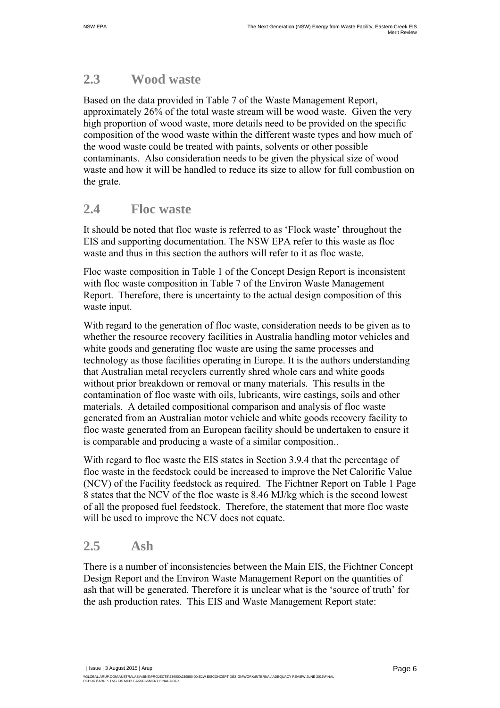#### **2.3 Wood waste**

Based on the data provided in Table 7 of the Waste Management Report, approximately 26% of the total waste stream will be wood waste. Given the very high proportion of wood waste, more details need to be provided on the specific composition of the wood waste within the different waste types and how much of the wood waste could be treated with paints, solvents or other possible contaminants. Also consideration needs to be given the physical size of wood waste and how it will be handled to reduce its size to allow for full combustion on the grate.

#### **2.4 Floc waste**

It should be noted that floc waste is referred to as 'Flock waste' throughout the EIS and supporting documentation. The NSW EPA refer to this waste as floc waste and thus in this section the authors will refer to it as floc waste.

Floc waste composition in Table 1 of the Concept Design Report is inconsistent with floc waste composition in Table 7 of the Environ Waste Management Report. Therefore, there is uncertainty to the actual design composition of this waste input.

With regard to the generation of floc waste, consideration needs to be given as to whether the resource recovery facilities in Australia handling motor vehicles and white goods and generating floc waste are using the same processes and technology as those facilities operating in Europe. It is the authors understanding that Australian metal recyclers currently shred whole cars and white goods without prior breakdown or removal or many materials. This results in the contamination of floc waste with oils, lubricants, wire castings, soils and other materials. A detailed compositional comparison and analysis of floc waste generated from an Australian motor vehicle and white goods recovery facility to floc waste generated from an European facility should be undertaken to ensure it is comparable and producing a waste of a similar composition..

With regard to floc waste the EIS states in Section 3.9.4 that the percentage of floc waste in the feedstock could be increased to improve the Net Calorific Value (NCV) of the Facility feedstock as required. The Fichtner Report on Table 1 Page 8 states that the NCV of the floc waste is 8.46 MJ/kg which is the second lowest of all the proposed fuel feedstock. Therefore, the statement that more floc waste will be used to improve the NCV does not equate.

#### **2.5 Ash**

There is a number of inconsistencies between the Main EIS, the Fichtner Concept Design Report and the Environ Waste Management Report on the quantities of ash that will be generated. Therefore it is unclear what is the 'source of truth' for the ash production rates. This EIS and Waste Management Report state: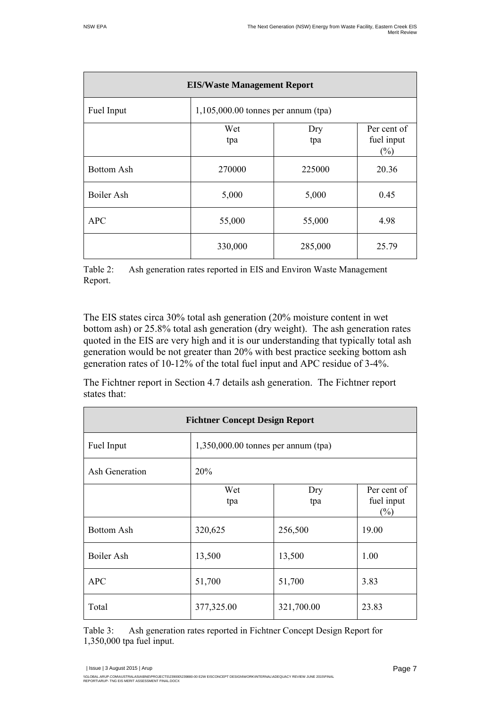| <b>EIS/Waste Management Report</b> |                                       |            |                                     |  |
|------------------------------------|---------------------------------------|------------|-------------------------------------|--|
| Fuel Input                         | $1,105,000.00$ tonnes per annum (tpa) |            |                                     |  |
|                                    | Wet<br>tpa                            | Dry<br>tpa | Per cent of<br>fuel input<br>$(\%)$ |  |
| <b>Bottom Ash</b>                  | 270000                                | 225000     | 20.36                               |  |
| Boiler Ash                         | 5,000                                 | 5,000      | 0.45                                |  |
| <b>APC</b>                         | 55,000                                | 55,000     | 4.98                                |  |
|                                    | 330,000                               | 285,000    | 25.79                               |  |

Table 2: Ash generation rates reported in EIS and Environ Waste Management Report.

The EIS states circa 30% total ash generation (20% moisture content in wet bottom ash) or 25.8% total ash generation (dry weight). The ash generation rates quoted in the EIS are very high and it is our understanding that typically total ash generation would be not greater than 20% with best practice seeking bottom ash generation rates of 10-12% of the total fuel input and APC residue of 3-4%.

The Fichtner report in Section 4.7 details ash generation. The Fichtner report states that:

| <b>Fichtner Concept Design Report</b> |                                       |            |                                     |  |  |
|---------------------------------------|---------------------------------------|------------|-------------------------------------|--|--|
| Fuel Input                            | $1,350,000.00$ tonnes per annum (tpa) |            |                                     |  |  |
| Ash Generation                        | 20%                                   |            |                                     |  |  |
|                                       | Wet<br>tpa                            | Dry<br>tpa | Per cent of<br>fuel input<br>$(\%)$ |  |  |
| <b>Bottom Ash</b>                     | 320,625                               | 256,500    | 19.00                               |  |  |
| Boiler Ash                            | 13,500                                | 13,500     | 1.00                                |  |  |
| <b>APC</b>                            | 51,700                                | 51,700     | 3.83                                |  |  |
| Total                                 | 377,325.00                            | 321,700.00 | 23.83                               |  |  |

Table 3: Ash generation rates reported in Fichtner Concept Design Report for 1,350,000 tpa fuel input.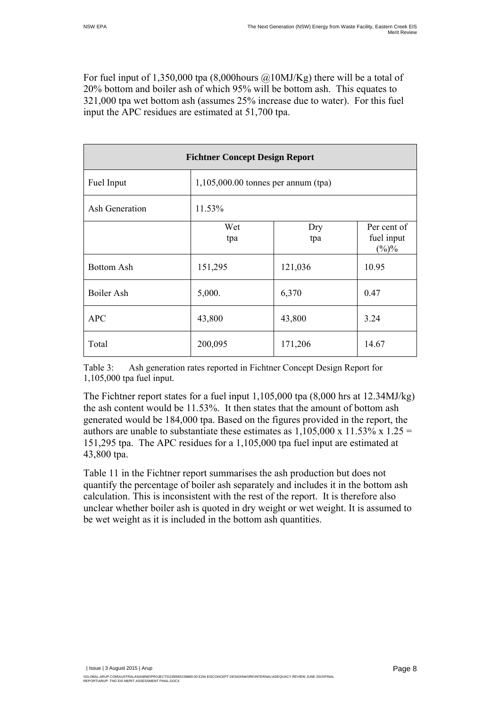For fuel input of 1,350,000 tpa  $(8,000$ hours  $@10$ MJ/Kg) there will be a total of 20% bottom and boiler ash of which 95% will be bottom ash. This equates to 321,000 tpa wet bottom ash (assumes 25% increase due to water). For this fuel input the APC residues are estimated at 51,700 tpa.

| <b>Fichtner Concept Design Report</b> |                                       |            |                                      |  |  |
|---------------------------------------|---------------------------------------|------------|--------------------------------------|--|--|
| Fuel Input                            | $1,105,000.00$ tonnes per annum (tpa) |            |                                      |  |  |
| <b>Ash Generation</b>                 | 11.53%                                |            |                                      |  |  |
|                                       | Wet<br>tpa                            | Dry<br>tpa | Per cent of<br>fuel input<br>$(\%)%$ |  |  |
| <b>Bottom Ash</b>                     | 151,295                               | 121,036    | 10.95                                |  |  |
| Boiler Ash                            | 5,000.                                | 6,370      | 0.47                                 |  |  |
| <b>APC</b>                            | 43,800                                | 43,800     | 3.24                                 |  |  |
| Total                                 | 200,095                               | 171,206    | 14.67                                |  |  |

Table 3: Ash generation rates reported in Fichtner Concept Design Report for 1,105,000 tpa fuel input.

The Fichtner report states for a fuel input  $1,105,000$  tpa  $(8,000$  hrs at  $12.34$ MJ/kg) the ash content would be 11.53%. It then states that the amount of bottom ash generated would be 184,000 tpa. Based on the figures provided in the report, the authors are unable to substantiate these estimates as  $1,105,000 \times 11.53\% \times 1.25 =$ 151,295 tpa. The APC residues for a 1,105,000 tpa fuel input are estimated at 43,800 tpa.

Table 11 in the Fichtner report summarises the ash production but does not quantify the percentage of boiler ash separately and includes it in the bottom ash calculation. This is inconsistent with the rest of the report. It is therefore also unclear whether boiler ash is quoted in dry weight or wet weight. It is assumed to be wet weight as it is included in the bottom ash quantities.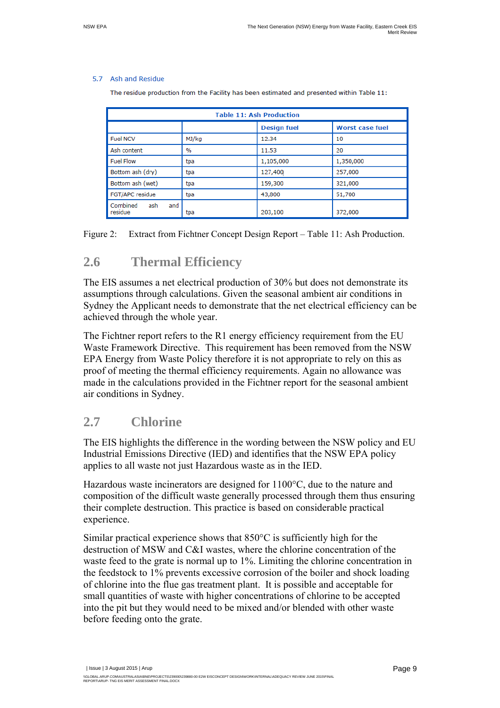#### 5.7 Ash and Residue

The residue production from the Facility has been estimated and presented within Table 11:

| <b>Table 11: Ash Production</b>   |       |                    |                        |  |  |  |
|-----------------------------------|-------|--------------------|------------------------|--|--|--|
|                                   |       | <b>Design fuel</b> | <b>Worst case fuel</b> |  |  |  |
| <b>Fuel NCV</b>                   | MJ/kg | 12.34              | 10                     |  |  |  |
| Ash content                       | $\%$  | 11.53              | 20                     |  |  |  |
| <b>Fuel Flow</b>                  | tpa   | 1,105,000          | 1,350,000              |  |  |  |
| Bottom ash (dry)                  | tpa   | 127,400            | 257,000                |  |  |  |
| Bottom ash (wet)                  | tpa   | 159,300            | 321,000                |  |  |  |
| FGT/APC residue                   | tpa   | 43,800             | 51,700                 |  |  |  |
| Combined<br>ash<br>and<br>residue | tpa   | 203,100            | 372,000                |  |  |  |

Figure 2: Extract from Fichtner Concept Design Report – Table 11: Ash Production.

#### **2.6 Thermal Efficiency**

The EIS assumes a net electrical production of 30% but does not demonstrate its assumptions through calculations. Given the seasonal ambient air conditions in Sydney the Applicant needs to demonstrate that the net electrical efficiency can be achieved through the whole year.

The Fichtner report refers to the R1 energy efficiency requirement from the EU Waste Framework Directive. This requirement has been removed from the NSW EPA Energy from Waste Policy therefore it is not appropriate to rely on this as proof of meeting the thermal efficiency requirements. Again no allowance was made in the calculations provided in the Fichtner report for the seasonal ambient air conditions in Sydney.

#### **2.7 Chlorine**

The EIS highlights the difference in the wording between the NSW policy and EU Industrial Emissions Directive (IED) and identifies that the NSW EPA policy applies to all waste not just Hazardous waste as in the IED.

Hazardous waste incinerators are designed for 1100°C, due to the nature and composition of the difficult waste generally processed through them thus ensuring their complete destruction. This practice is based on considerable practical experience.

Similar practical experience shows that 850°C is sufficiently high for the destruction of MSW and C&I wastes, where the chlorine concentration of the waste feed to the grate is normal up to 1%. Limiting the chlorine concentration in the feedstock to 1% prevents excessive corrosion of the boiler and shock loading of chlorine into the flue gas treatment plant. It is possible and acceptable for small quantities of waste with higher concentrations of chlorine to be accepted into the pit but they would need to be mixed and/or blended with other waste before feeding onto the grate.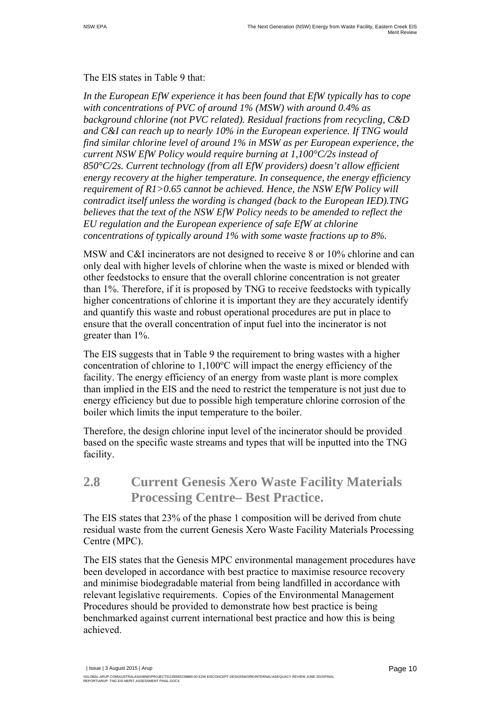#### The EIS states in Table 9 that:

*In the European EfW experience it has been found that EfW typically has to cope with concentrations of PVC of around 1% (MSW) with around 0.4% as background chlorine (not PVC related). Residual fractions from recycling, C&D and C&I can reach up to nearly 10% in the European experience. If TNG would find similar chlorine level of around 1% in MSW as per European experience, the current NSW EfW Policy would require burning at 1,100°C/2s instead of 850°C/2s. Current technology (from all EfW providers) doesn't allow efficient energy recovery at the higher temperature. In consequence, the energy efficiency requirement of R1>0.65 cannot be achieved. Hence, the NSW EfW Policy will contradict itself unless the wording is changed (back to the European IED).TNG believes that the text of the NSW EfW Policy needs to be amended to reflect the EU regulation and the European experience of safe EfW at chlorine concentrations of typically around 1% with some waste fractions up to 8%.* 

MSW and C&I incinerators are not designed to receive 8 or 10% chlorine and can only deal with higher levels of chlorine when the waste is mixed or blended with other feedstocks to ensure that the overall chlorine concentration is not greater than 1%. Therefore, if it is proposed by TNG to receive feedstocks with typically higher concentrations of chlorine it is important they are they accurately identify and quantify this waste and robust operational procedures are put in place to ensure that the overall concentration of input fuel into the incinerator is not greater than 1%.

The EIS suggests that in Table 9 the requirement to bring wastes with a higher concentration of chlorine to 1,100°C will impact the energy efficiency of the facility. The energy efficiency of an energy from waste plant is more complex than implied in the EIS and the need to restrict the temperature is not just due to energy efficiency but due to possible high temperature chlorine corrosion of the boiler which limits the input temperature to the boiler.

Therefore, the design chlorine input level of the incinerator should be provided based on the specific waste streams and types that will be inputted into the TNG facility.

#### **2.8 Current Genesis Xero Waste Facility Materials Processing Centre– Best Practice.**

The EIS states that 23% of the phase 1 composition will be derived from chute residual waste from the current Genesis Xero Waste Facility Materials Processing Centre (MPC).

The EIS states that the Genesis MPC environmental management procedures have been developed in accordance with best practice to maximise resource recovery and minimise biodegradable material from being landfilled in accordance with relevant legislative requirements. Copies of the Environmental Management Procedures should be provided to demonstrate how best practice is being benchmarked against current international best practice and how this is being achieved.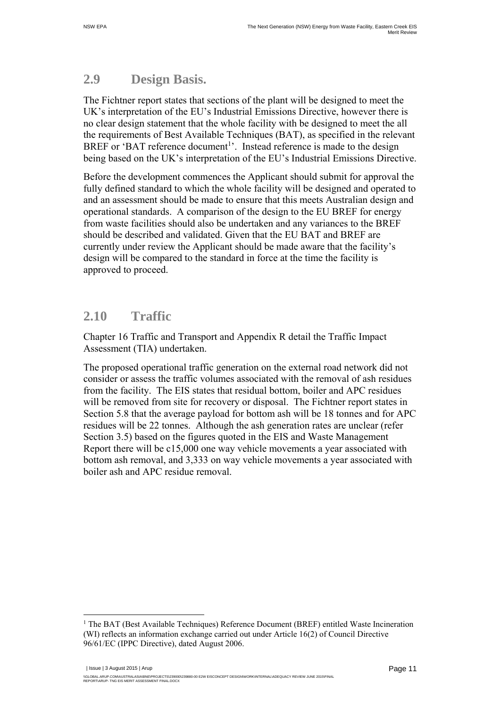## **2.9 Design Basis.**

The Fichtner report states that sections of the plant will be designed to meet the UK's interpretation of the EU's Industrial Emissions Directive, however there is no clear design statement that the whole facility with be designed to meet the all the requirements of Best Available Techniques (BAT), as specified in the relevant BREF or 'BAT reference document<sup>1</sup>'. Instead reference is made to the design being based on the UK's interpretation of the EU's Industrial Emissions Directive.

Before the development commences the Applicant should submit for approval the fully defined standard to which the whole facility will be designed and operated to and an assessment should be made to ensure that this meets Australian design and operational standards. A comparison of the design to the EU BREF for energy from waste facilities should also be undertaken and any variances to the BREF should be described and validated. Given that the EU BAT and BREF are currently under review the Applicant should be made aware that the facility's design will be compared to the standard in force at the time the facility is approved to proceed.

#### **2.10 Traffic**

 $\overline{a}$ 

Chapter 16 Traffic and Transport and Appendix R detail the Traffic Impact Assessment (TIA) undertaken.

The proposed operational traffic generation on the external road network did not consider or assess the traffic volumes associated with the removal of ash residues from the facility. The EIS states that residual bottom, boiler and APC residues will be removed from site for recovery or disposal. The Fichtner report states in Section 5.8 that the average payload for bottom ash will be 18 tonnes and for APC residues will be 22 tonnes. Although the ash generation rates are unclear (refer Section 3.5) based on the figures quoted in the EIS and Waste Management Report there will be c15,000 one way vehicle movements a year associated with bottom ash removal, and 3,333 on way vehicle movements a year associated with boiler ash and APC residue removal.

 | Issue | 3 August 2015 | Arup \\GLOBAL.ARUP.COMAUSTRALASIA\BNE\PROJECTS\239000\239880-00 E2W EISCONCEPT DESIGN\WORK\INTERNAL\ADEQUACY REVIEW JUNE 2015\FINAL<br>REPORT\ARUP- TNG EIS MERIT ASSESSMENT FINAL.DOCX

<sup>&</sup>lt;sup>1</sup> The BAT (Best Available Techniques) Reference Document (BREF) entitled Waste Incineration (WI) reflects an information exchange carried out under Article 16(2) of Council Directive 96/61/EC (IPPC Directive), dated August 2006.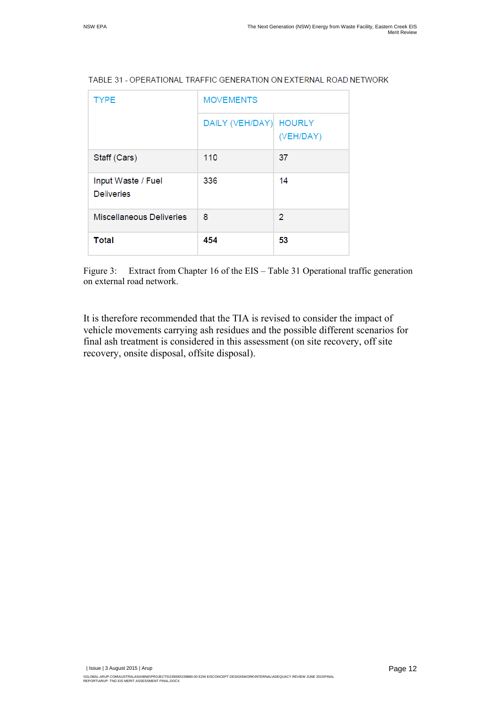| <b>TYPE</b>                             | <b>MOVEMENTS</b> |                            |  |  |
|-----------------------------------------|------------------|----------------------------|--|--|
|                                         | DAILY (VEH/DAY)  | <b>HOURLY</b><br>(VEH/DAY) |  |  |
| Staff (Cars)                            | 110              | 37                         |  |  |
| Input Waste / Fuel<br><b>Deliveries</b> | 336              | 14                         |  |  |
| <b>Miscellaneous Deliveries</b>         | 8                | $\overline{2}$             |  |  |
| <b>Total</b>                            | 454              | 53                         |  |  |

#### TABLE 31 - OPERATIONAL TRAFFIC GENERATION ON EXTERNAL ROAD NETWORK

Figure 3: Extract from Chapter 16 of the EIS – Table 31 Operational traffic generation on external road network.

It is therefore recommended that the TIA is revised to consider the impact of vehicle movements carrying ash residues and the possible different scenarios for final ash treatment is considered in this assessment (on site recovery, off site recovery, onsite disposal, offsite disposal).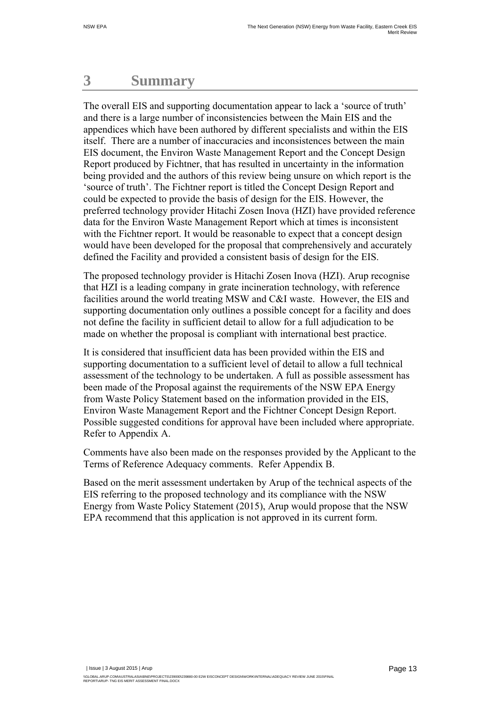## **3 Summary**

The overall EIS and supporting documentation appear to lack a 'source of truth' and there is a large number of inconsistencies between the Main EIS and the appendices which have been authored by different specialists and within the EIS itself. There are a number of inaccuracies and inconsistences between the main EIS document, the Environ Waste Management Report and the Concept Design Report produced by Fichtner, that has resulted in uncertainty in the information being provided and the authors of this review being unsure on which report is the 'source of truth'. The Fichtner report is titled the Concept Design Report and could be expected to provide the basis of design for the EIS. However, the preferred technology provider Hitachi Zosen Inova (HZI) have provided reference data for the Environ Waste Management Report which at times is inconsistent with the Fichtner report. It would be reasonable to expect that a concept design would have been developed for the proposal that comprehensively and accurately defined the Facility and provided a consistent basis of design for the EIS.

The proposed technology provider is Hitachi Zosen Inova (HZI). Arup recognise that HZI is a leading company in grate incineration technology, with reference facilities around the world treating MSW and C&I waste. However, the EIS and supporting documentation only outlines a possible concept for a facility and does not define the facility in sufficient detail to allow for a full adjudication to be made on whether the proposal is compliant with international best practice.

It is considered that insufficient data has been provided within the EIS and supporting documentation to a sufficient level of detail to allow a full technical assessment of the technology to be undertaken. A full as possible assessment has been made of the Proposal against the requirements of the NSW EPA Energy from Waste Policy Statement based on the information provided in the EIS, Environ Waste Management Report and the Fichtner Concept Design Report. Possible suggested conditions for approval have been included where appropriate. Refer to Appendix A.

Comments have also been made on the responses provided by the Applicant to the Terms of Reference Adequacy comments. Refer Appendix B.

Based on the merit assessment undertaken by Arup of the technical aspects of the EIS referring to the proposed technology and its compliance with the NSW Energy from Waste Policy Statement (2015), Arup would propose that the NSW EPA recommend that this application is not approved in its current form.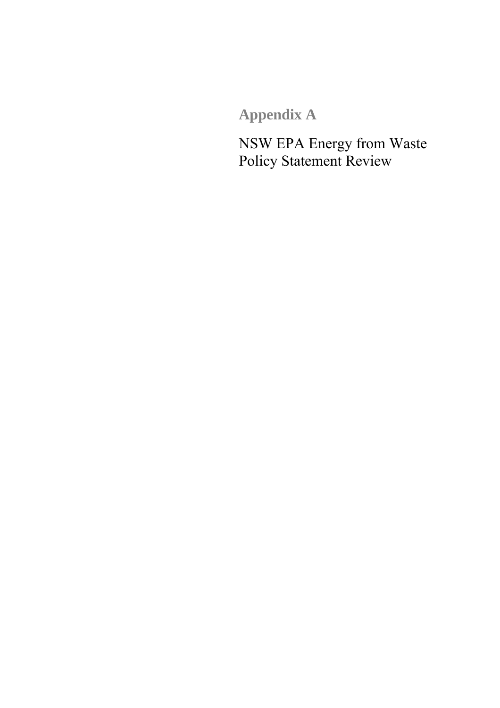**Appendix A**

NSW EPA Energy from Waste Policy Statement Review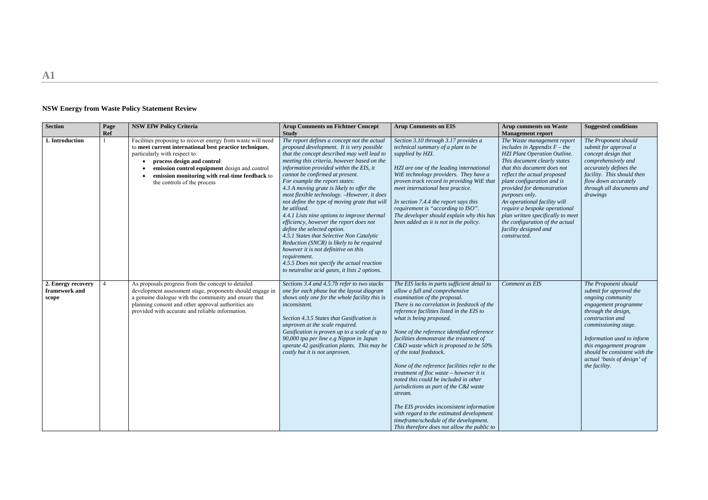**A1**

## **NSW Energy from Waste Policy Statement Review**

| <b>Section</b>                               | Page<br><b>Ref</b> | <b>NSW EfW Policy Criteria</b>                                                                                                                                                                                                                                                                                          | <b>Arup Comments on Fichtner Concept</b><br><b>Study</b>                                                                                                                                                                                                                                                                                                                                                                                                                                                                                                                                                                                                                                                                                                                                                                                      | <b>Arup Comments on EIS</b>                                                                                                                                                                                                                                                                                                                                                                                                                                                                                                                                                                                                                                                                                                                                                   | <b>Arup comments on Waste</b><br><b>Management report</b>                                                                                                                                                                                                                                                                                                                                                                                                          | <b>Suggested conditions</b>                                                                                                                                                                                                                                                                               |
|----------------------------------------------|--------------------|-------------------------------------------------------------------------------------------------------------------------------------------------------------------------------------------------------------------------------------------------------------------------------------------------------------------------|-----------------------------------------------------------------------------------------------------------------------------------------------------------------------------------------------------------------------------------------------------------------------------------------------------------------------------------------------------------------------------------------------------------------------------------------------------------------------------------------------------------------------------------------------------------------------------------------------------------------------------------------------------------------------------------------------------------------------------------------------------------------------------------------------------------------------------------------------|-------------------------------------------------------------------------------------------------------------------------------------------------------------------------------------------------------------------------------------------------------------------------------------------------------------------------------------------------------------------------------------------------------------------------------------------------------------------------------------------------------------------------------------------------------------------------------------------------------------------------------------------------------------------------------------------------------------------------------------------------------------------------------|--------------------------------------------------------------------------------------------------------------------------------------------------------------------------------------------------------------------------------------------------------------------------------------------------------------------------------------------------------------------------------------------------------------------------------------------------------------------|-----------------------------------------------------------------------------------------------------------------------------------------------------------------------------------------------------------------------------------------------------------------------------------------------------------|
| 1. Introduction                              |                    | Facilities proposing to recover energy from waste will need<br>to meet current international best practice techniques,<br>particularly with respect to:<br>process design and control<br>emission control equipment design and control<br>emission monitoring with real-time feedback to<br>the controls of the process | The report defines a concept not the actual<br>proposed development. It is very possible<br>that the concept described may well lead to<br>meeting this criteria, however based on the<br>information provided within the EIS, it<br>cannot be confirmed at present.<br>For example the report states:<br>4.3 A moving grate is likely to offer the<br>most flexible technology. -However, it does<br>not define the type of moving grate that will<br>be utilised.<br>4.4.1 Lists nine options to improve thermal<br>efficiency, however the report does not<br>define the selected option.<br>4.5.1 States that Selective Non Catalytic<br>Reduction (SNCR) is likely to be required<br>however it is not definitive on this<br>requirement.<br>4.5.5 Does not specify the actual reaction<br>to neutralise acid gases, it lists 2 options. | Section 3.10 through 3.17 provides a<br>technical summary of a plant to be<br>supplied by HZI.<br>HZI are one of the leading international<br>WtE technology providers. They have a<br>proven track record in providing WtE that<br>meet international best practice.<br>In section 7.4.4 the report says this<br>requirement is "according to ISO".<br>The developer should explain why this has<br>been added as it is not in the policy.                                                                                                                                                                                                                                                                                                                                   | The Waste management report<br>includes in Appendix $F$ – the<br><b>HZI Plant Operation Outline.</b><br>This document clearly states<br>that this document does not<br>reflect the actual proposed<br>plant configuration and is<br>provided for demonstration<br>purposes only.<br>An operational facility will<br>require a bespoke operational<br>plan written specifically to meet<br>the configuration of the actual<br>facility designed and<br>constructed. | The Proponent should<br>submit for approval a<br>concept design that<br>comprehensively and<br>accurately defines the<br>facility. This should then<br>flow down accurately<br>through all documents and<br>drawings                                                                                      |
| 2. Energy recovery<br>framework and<br>scope |                    | As proposals progress from the concept to detailed<br>development assessment stage, proponents should engage in<br>a genuine dialogue with the community and ensure that<br>planning consent and other approval authorities are<br>provided with accurate and reliable information.                                     | Sections 3.4 and 4.5.7b refer to two stacks<br>one for each phase but the layout diagram<br>shows only one for the whole facility this is<br>inconsistent.<br>Section 4.3.5 States that Gasification is<br>unproven at the scale required.<br>Gasification is proven up to a scale of up to<br>90,000 tpa per line e.g Nippon in Japan<br>operate 42 gasification plants. This may be<br>costly but it is not unproven.                                                                                                                                                                                                                                                                                                                                                                                                                       | The EIS lacks in parts sufficient detail to<br>allow a full and comprehensive<br>examination of the proposal.<br>There is no correlation in feedstock of the<br>reference facilities listed in the EIS to<br>what is being proposed.<br>None of the reference identified reference<br>facilities demonstrate the treatment of<br>C&D waste which is proposed to be 50%<br>of the total feedstock.<br>None of the reference facilities refer to the<br>treatment of floc waste - however it is<br>noted this could be included in other<br>jurisdictions as part of the C&I waste<br>stream.<br>The EIS provides inconsistent information<br>with regard to the estimated development<br>timeframe/schedule of the development.<br>This therefore does not allow the public to | Comment as EIS                                                                                                                                                                                                                                                                                                                                                                                                                                                     | The Proponent should<br>submit for approval the<br>ongoing community<br>engagement programme<br>through the design,<br>construction and<br>commissioning stage.<br>Information used to inform<br>this engagement program<br>should be consistent with the<br>actual 'basis of design' of<br>the facility. |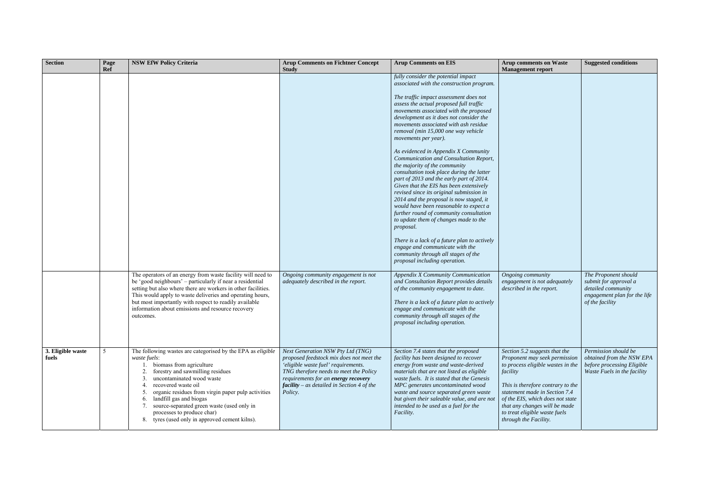| <b>Section</b>             | Page<br><b>Ref</b> | <b>NSW EfW Policy Criteria</b>                                                                                                                                                                                                                                                                                                                                                                                                | <b>Arup Comments on Fichtner Concept</b><br><b>Study</b>                                                                                                                                                                                                                             | <b>Arup Comments on EIS</b>                                                                                                                                                                                                                                                                                                                                                                                                                                                                                                                                                                                                                                                                                                                                                                                                                                                                                                                                                                                            | <b>Arup comments on Waste</b><br><b>Management report</b>                                                                                                                                                                                                                                                            | <b>Suggested conditions</b>                                                                                            |
|----------------------------|--------------------|-------------------------------------------------------------------------------------------------------------------------------------------------------------------------------------------------------------------------------------------------------------------------------------------------------------------------------------------------------------------------------------------------------------------------------|--------------------------------------------------------------------------------------------------------------------------------------------------------------------------------------------------------------------------------------------------------------------------------------|------------------------------------------------------------------------------------------------------------------------------------------------------------------------------------------------------------------------------------------------------------------------------------------------------------------------------------------------------------------------------------------------------------------------------------------------------------------------------------------------------------------------------------------------------------------------------------------------------------------------------------------------------------------------------------------------------------------------------------------------------------------------------------------------------------------------------------------------------------------------------------------------------------------------------------------------------------------------------------------------------------------------|----------------------------------------------------------------------------------------------------------------------------------------------------------------------------------------------------------------------------------------------------------------------------------------------------------------------|------------------------------------------------------------------------------------------------------------------------|
|                            |                    |                                                                                                                                                                                                                                                                                                                                                                                                                               |                                                                                                                                                                                                                                                                                      | fully consider the potential impact<br>associated with the construction program.<br>The traffic impact assessment does not<br>assess the actual proposed full traffic<br>movements associated with the proposed<br>development as it does not consider the<br>movements associated with ash residue<br>removal (min 15,000 one way vehicle<br>movements per year).<br>As evidenced in Appendix X Community<br>Communication and Consultation Report,<br>the majority of the community<br>consultation took place during the latter<br>part of 2013 and the early part of 2014.<br>Given that the EIS has been extensively<br>revised since its original submission in<br>2014 and the proposal is now staged, it<br>would have been reasonable to expect a<br>further round of community consultation<br>to update them of changes made to the<br>proposal.<br>There is a lack of a future plan to actively<br>engage and communicate with the<br>community through all stages of the<br>proposal including operation. |                                                                                                                                                                                                                                                                                                                      |                                                                                                                        |
|                            |                    | The operators of an energy from waste facility will need to<br>be 'good neighbours' - particularly if near a residential<br>setting but also where there are workers in other facilities.<br>This would apply to waste deliveries and operating hours,<br>but most importantly with respect to readily available<br>information about emissions and resource recovery<br>outcomes.                                            | Ongoing community engagement is not<br>adequately described in the report.                                                                                                                                                                                                           | Appendix X Community Communication<br>and Consultation Report provides details<br>of the community engagement to date.<br>There is a lack of a future plan to actively<br>engage and communicate with the<br>community through all stages of the<br>proposal including operation.                                                                                                                                                                                                                                                                                                                                                                                                                                                                                                                                                                                                                                                                                                                                      | Ongoing community<br>engagement is not adequately<br>described in the report.                                                                                                                                                                                                                                        | The Proponent should<br>submit for approval a<br>detailed community<br>engagement plan for the life<br>of the facility |
| 3. Eligible waste<br>fuels | 5                  | The following wastes are categorised by the EPA as eligible<br>waste fuels:<br>biomass from agriculture<br>forestry and sawmilling residues<br>uncontaminated wood waste<br>recovered waste oil<br>organic residues from virgin paper pulp activities<br>5.<br>landfill gas and biogas<br>6.<br>source-separated green waste (used only in<br>processes to produce char)<br>tyres (used only in approved cement kilns).<br>8. | Next Generation NSW Pty Ltd (TNG)<br>proposed feedstock mix does not meet the<br>'eligible waste fuel' requirements.<br>TNG therefore needs to meet the Policy<br>requirements for an energy recovery<br>$\mathbf{f} \mathbf{a}$ cility – as detailed in Section 4 of the<br>Policy. | Section 7.4 states that the proposed<br>facility has been designed to recover<br>energy from waste and waste-derived<br>materials that are not listed as eligible<br>waste fuels. It is stated that the Genesis<br>MPC generates uncontaminated wood<br>waste and source separated green waste<br>but given their saleable value, and are not<br>intended to be used as a fuel for the<br>Facility.                                                                                                                                                                                                                                                                                                                                                                                                                                                                                                                                                                                                                    | Section 5.2 suggests that the<br>Proponent may seek permission<br>to process eligible wastes in the<br>facility<br>This is therefore contrary to the<br>statement made in Section 7.4<br>of the EIS, which does not state<br>that any changes will be made<br>to treat eligible waste fuels<br>through the Facility. | Permission should be<br>obtained from the NSW EPA<br>before processing Eligible<br>Waste Fuels in the facility         |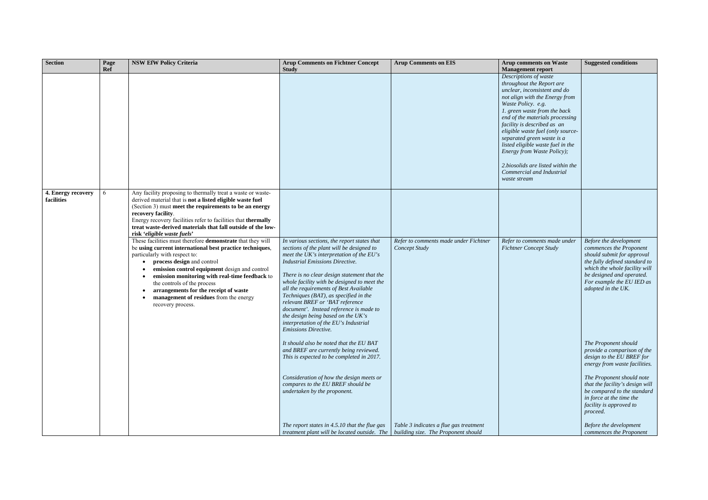| <b>Section</b>                   | Page<br><b>Ref</b> | <b>NSW EfW Policy Criteria</b>                                                                                                                                                                                                                                                                                                                                                                                                               | <b>Arup Comments on Fichtner Concept</b><br><b>Study</b>                                                                                                                                                                                                                                                                                                                                                                                                                                                                                                       | <b>Arup Comments on EIS</b>                                                   | <b>Arup comments on Waste</b><br><b>Management report</b>                                                                                                                                                                                                                                                                                                                                                                                                            | <b>Suggested conditions</b>                                                                                                                                                                                                       |
|----------------------------------|--------------------|----------------------------------------------------------------------------------------------------------------------------------------------------------------------------------------------------------------------------------------------------------------------------------------------------------------------------------------------------------------------------------------------------------------------------------------------|----------------------------------------------------------------------------------------------------------------------------------------------------------------------------------------------------------------------------------------------------------------------------------------------------------------------------------------------------------------------------------------------------------------------------------------------------------------------------------------------------------------------------------------------------------------|-------------------------------------------------------------------------------|----------------------------------------------------------------------------------------------------------------------------------------------------------------------------------------------------------------------------------------------------------------------------------------------------------------------------------------------------------------------------------------------------------------------------------------------------------------------|-----------------------------------------------------------------------------------------------------------------------------------------------------------------------------------------------------------------------------------|
|                                  |                    |                                                                                                                                                                                                                                                                                                                                                                                                                                              |                                                                                                                                                                                                                                                                                                                                                                                                                                                                                                                                                                |                                                                               | Descriptions of waste<br>throughout the Report are<br>unclear, inconsistent and do<br>not align with the Energy from<br>Waste Policy. e.g.<br>1. green waste from the back<br>end of the materials processing<br>facility is described as an<br>eligible waste fuel (only source-<br>separated green waste is a<br>listed eligible waste fuel in the<br>Energy from Waste Policy);<br>2.biosolids are listed within the<br>Commercial and Industrial<br>waste stream |                                                                                                                                                                                                                                   |
| 4. Energy recovery<br>facilities | 6                  | Any facility proposing to thermally treat a waste or waste-<br>derived material that is not a listed eligible waste fuel<br>(Section 3) must meet the requirements to be an energy<br>recovery facility.<br>Energy recovery facilities refer to facilities that thermally<br>treat waste-derived materials that fall outside of the low-<br>risk 'eligible waste fuels'                                                                      |                                                                                                                                                                                                                                                                                                                                                                                                                                                                                                                                                                |                                                                               |                                                                                                                                                                                                                                                                                                                                                                                                                                                                      |                                                                                                                                                                                                                                   |
|                                  |                    | These facilities must therefore demonstrate that they will<br>be using current international best practice techniques,<br>particularly with respect to:<br>process design and control<br>emission control equipment design and control<br>emission monitoring with real-time feedback to<br>$\bullet$<br>the controls of the process<br>arrangements for the receipt of waste<br>management of residues from the energy<br>recovery process. | In various sections, the report states that<br>sections of the plant will be designed to<br>meet the UK's interpretation of the $EU$ 's<br><b>Industrial Emissions Directive.</b><br>There is no clear design statement that the<br>whole facility with be designed to meet the<br>all the requirements of Best Available<br>Techniques (BAT), as specified in the<br>relevant BREF or 'BAT reference<br>document'. Instead reference is made to<br>the design being based on the UK's<br>interpretation of the EU's Industrial<br><b>Emissions Directive.</b> | Refer to comments made under Fichtner<br>Concept Study                        | Refer to comments made under<br><b>Fichtner Concept Study</b>                                                                                                                                                                                                                                                                                                                                                                                                        | Before the development<br>commences the Proponent<br>should submit for approval<br>the fully defined standard to<br>which the whole facility will<br>be designed and operated.<br>For example the EU IED as<br>adopted in the UK. |
|                                  |                    |                                                                                                                                                                                                                                                                                                                                                                                                                                              | It should also be noted that the EU BAT<br>and BREF are currently being reviewed.<br>This is expected to be completed in 2017.                                                                                                                                                                                                                                                                                                                                                                                                                                 |                                                                               |                                                                                                                                                                                                                                                                                                                                                                                                                                                                      | The Proponent should<br>provide a comparison of the<br>design to the EU BREF for<br>energy from waste facilities.                                                                                                                 |
|                                  |                    |                                                                                                                                                                                                                                                                                                                                                                                                                                              | Consideration of how the design meets or<br>compares to the EU BREF should be<br>undertaken by the proponent.                                                                                                                                                                                                                                                                                                                                                                                                                                                  |                                                                               |                                                                                                                                                                                                                                                                                                                                                                                                                                                                      | The Proponent should note<br>that the facility's design will<br>be compared to the standard<br>in force at the time the<br>facility is approved to<br>proceed.                                                                    |
|                                  |                    |                                                                                                                                                                                                                                                                                                                                                                                                                                              | The report states in 4.5.10 that the flue gas<br>treatment plant will be located outside. The                                                                                                                                                                                                                                                                                                                                                                                                                                                                  | Table 3 indicates a flue gas treatment<br>building size. The Proponent should |                                                                                                                                                                                                                                                                                                                                                                                                                                                                      | Before the development<br>commences the Proponent                                                                                                                                                                                 |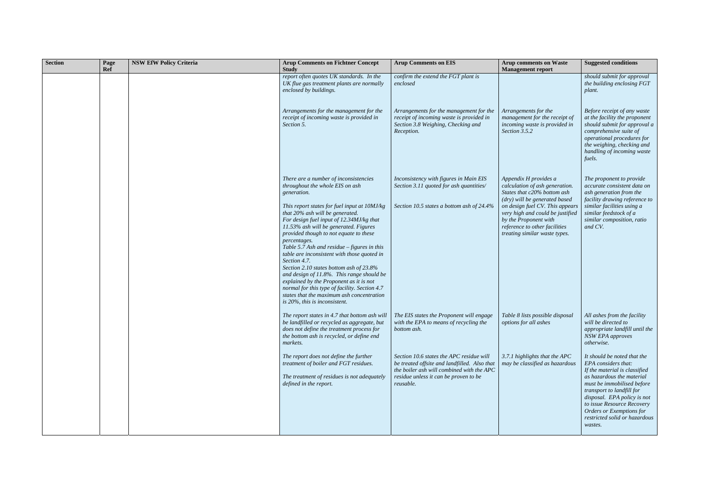| <b>Section</b> | Page<br><b>Ref</b> | <b>NSW EfW Policy Criteria</b> | <b>Arup Comments on Fichtner Concept</b><br><b>Study</b>                                                                                                                                                                                                                                                                                                                                                                                                                                                                                                                                                       | <b>Arup Comments on EIS</b>                                                                                                                                                                 | <b>Arup comments on Waste</b><br><b>Management report</b>                                                                                                                                       | <b>Suggested conditions</b>                                                                                                                                                                                                                                                                                      |
|----------------|--------------------|--------------------------------|----------------------------------------------------------------------------------------------------------------------------------------------------------------------------------------------------------------------------------------------------------------------------------------------------------------------------------------------------------------------------------------------------------------------------------------------------------------------------------------------------------------------------------------------------------------------------------------------------------------|---------------------------------------------------------------------------------------------------------------------------------------------------------------------------------------------|-------------------------------------------------------------------------------------------------------------------------------------------------------------------------------------------------|------------------------------------------------------------------------------------------------------------------------------------------------------------------------------------------------------------------------------------------------------------------------------------------------------------------|
|                |                    |                                | report often quotes UK standards. In the<br>UK flue gas treatment plants are normally<br>enclosed by buildings.                                                                                                                                                                                                                                                                                                                                                                                                                                                                                                | confirm the extend the FGT plant is<br>enclosed                                                                                                                                             |                                                                                                                                                                                                 | should submit for approval<br>the building enclosing FGT<br>plant.                                                                                                                                                                                                                                               |
|                |                    |                                | Arrangements for the management for the<br>receipt of incoming waste is provided in<br>Section 5.                                                                                                                                                                                                                                                                                                                                                                                                                                                                                                              | Arrangements for the management for the<br>receipt of incoming waste is provided in<br>Section 3.8 Weighing, Checking and<br>Reception.                                                     | Arrangements for the<br>management for the receipt of<br>incoming waste is provided in<br>Section 3.5.2                                                                                         | Before receipt of any waste<br>at the facility the proponent<br>should submit for approval a<br>comprehensive suite of<br>operational procedures for<br>the weighing, checking and<br>handling of incoming waste<br>fuels.                                                                                       |
|                |                    |                                | There are a number of inconsistencies<br>throughout the whole EIS on ash<br>generation.                                                                                                                                                                                                                                                                                                                                                                                                                                                                                                                        | Inconsistency with figures in Main EIS<br>Section 3.11 quoted for ash quantities/                                                                                                           | Appendix H provides a<br>calculation of ash generation.<br>States that c20% bottom ash                                                                                                          | The proponent to provide<br>accurate consistent data on<br>ash generation from the                                                                                                                                                                                                                               |
|                |                    |                                | This report states for fuel input at 10MJ/kg<br>that 20% ash will be generated.<br>For design fuel input of 12.34MJ/kg that<br>11.53% ash will be generated. Figures<br>provided though to not equate to these<br>percentages.<br>Table 5.7 Ash and residue - figures in this<br>table are inconsistent with those quoted in<br>Section 4.7.<br>Section 2.10 states bottom ash of 23.8%<br>and design of 11.8%. This range should be<br>explained by the Proponent as it is not<br>normal for this type of facility. Section 4.7<br>states that the maximum ash concentration<br>is 20%, this is inconsistent. | Section 10.5 states a bottom ash of 24.4%                                                                                                                                                   | (dry) will be generated based<br>on design fuel CV. This appears<br>very high and could be justified<br>by the Proponent with<br>reference to other facilities<br>treating similar waste types. | facility drawing reference to<br>similar facilities using a<br>similar feedstock of a<br>similar composition, ratio<br>and CV.                                                                                                                                                                                   |
|                |                    |                                | The report states in 4.7 that bottom ash will $\mid$ The EIS states the Proponent will engage<br>be landfilled or recycled as aggregate, but $\parallel$ with the EPA to means of recycling the<br>does not define the treatment process for<br>the bottom ash is recycled, or define end<br>markets.                                                                                                                                                                                                                                                                                                          | bottom ash.                                                                                                                                                                                 | Table 8 lists possible disposal<br>options for all ashes                                                                                                                                        | All ashes from the facility<br>will be directed to<br>appropriate landfill until the<br><b>NSW EPA</b> approves<br>otherwise.                                                                                                                                                                                    |
|                |                    |                                | The report does not define the further<br>treatment of boiler and FGT residues.<br>The treatment of residues is not adequately<br>defined in the report.                                                                                                                                                                                                                                                                                                                                                                                                                                                       | Section 10.6 states the APC residue will<br>be treated offsite and landfilled. Also that<br>the boiler ash will combined with the APC<br>residue unless it can be proven to be<br>reusable. | 3.7.1 highlights that the APC<br>may be classified as hazardous                                                                                                                                 | It should be noted that the<br>EPA considers that:<br>If the material is classified<br>as hazardous the material<br>must be immobilised before<br>transport to landfill for<br>disposal. EPA policy is not<br>to issue Resource Recovery<br>Orders or Exemptions for<br>restricted solid or hazardous<br>wastes. |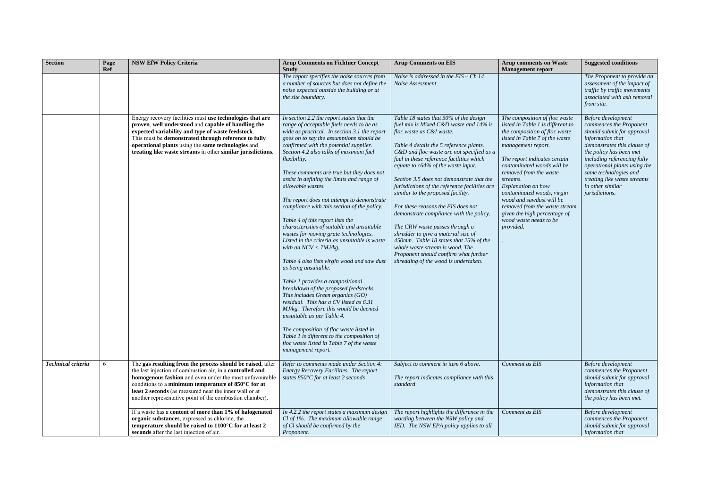| <b>Section</b>            | Page<br>Ref | <b>NSW EfW Policy Criteria</b>                                                                                                                                                                                                                                                                                                                                         | <b>Arup Comments on Fichtner Concept</b><br><b>Study</b>                                                                                                                                                                                                                                                                                                                                                                                                                                                                                                                                                                                                                                                                                                                                                                                                                                                                                                                                                                                                                                                                                                                         | <b>Arup Comments on EIS</b>                                                                                                                                                                                                                                                                                                                                                                                                                                                                                                                                                                                                                                                                                                                          | <b>Arup comments on Waste</b><br><b>Management report</b>                                                                                                                                                                                                                                                                                                                                                                                               | <b>Suggested conditions</b>                                                                                                                                                                                                                                                                                            |
|---------------------------|-------------|------------------------------------------------------------------------------------------------------------------------------------------------------------------------------------------------------------------------------------------------------------------------------------------------------------------------------------------------------------------------|----------------------------------------------------------------------------------------------------------------------------------------------------------------------------------------------------------------------------------------------------------------------------------------------------------------------------------------------------------------------------------------------------------------------------------------------------------------------------------------------------------------------------------------------------------------------------------------------------------------------------------------------------------------------------------------------------------------------------------------------------------------------------------------------------------------------------------------------------------------------------------------------------------------------------------------------------------------------------------------------------------------------------------------------------------------------------------------------------------------------------------------------------------------------------------|------------------------------------------------------------------------------------------------------------------------------------------------------------------------------------------------------------------------------------------------------------------------------------------------------------------------------------------------------------------------------------------------------------------------------------------------------------------------------------------------------------------------------------------------------------------------------------------------------------------------------------------------------------------------------------------------------------------------------------------------------|---------------------------------------------------------------------------------------------------------------------------------------------------------------------------------------------------------------------------------------------------------------------------------------------------------------------------------------------------------------------------------------------------------------------------------------------------------|------------------------------------------------------------------------------------------------------------------------------------------------------------------------------------------------------------------------------------------------------------------------------------------------------------------------|
|                           |             |                                                                                                                                                                                                                                                                                                                                                                        | The report specifies the noise sources from<br>a number of sources but does not define the<br>noise expected outside the building or at<br>the site boundary.                                                                                                                                                                                                                                                                                                                                                                                                                                                                                                                                                                                                                                                                                                                                                                                                                                                                                                                                                                                                                    | Noise is addressed in the $EIS - Ch$ 14<br>Noise Assessment                                                                                                                                                                                                                                                                                                                                                                                                                                                                                                                                                                                                                                                                                          |                                                                                                                                                                                                                                                                                                                                                                                                                                                         | The Proponent to provide an<br>assessment of the impact of<br>traffic by traffic movements<br>associated with ash removal<br>from site.                                                                                                                                                                                |
|                           |             | Energy recovery facilities must use technologies that are<br>proven, well understood and capable of handling the<br>expected variability and type of waste feedstock.<br>This must be demonstrated through reference to fully<br>operational plants using the same technologies and<br>treating like waste streams in other similar jurisdictions.                     | In section 2.2 the report states that the<br>range of acceptable fuels needs to be as<br>wide as practical. In section 3.1 the report<br>goes on to say the assumptions should be<br>confirmed with the potential supplier.<br>Section 4.2 also talks of maximum fuel<br>flexibility.<br>These comments are true but they does not<br>assist in defining the limits and range of<br>allowable wastes.<br>The report does not attempt to demonstrate<br>compliance with this section of the policy.<br>Table 4 of this report lists the<br>characteristics of suitable and unsuitable<br>wastes for moving grate technologies.<br>Listed in the criteria as unsuitable is waste<br>with an $NCV < 7MJ/kg$ .<br>Table 4 also lists virgin wood and saw dust<br>as being unsuitable.<br>Table 1 provides a compositional<br>breakdown of the proposed feedstocks.<br>This includes Green organics (GO)<br>residual. This has a CV listed as 6.31<br>MJ/kg. Therefore this would be deemed<br>unsuitable as per Table 4.<br>The composition of floc waste listed in<br>Table 1 is different to the composition of<br>floc waste listed in Table 7 of the waste<br>management report. | Table 18 states that 50% of the design<br>fuel mix is Mixed C&D waste and 14% is<br>floc waste as C&I waste.<br>Table 4 details the 5 reference plants.<br>C&D and floc waste are not specified as a<br>fuel in these reference facilities which<br>equate to $c64\%$ of the waste input.<br>Section 3.5 does not demonstrate that the<br>jurisdictions of the reference facilities are<br>similar to the proposed facility.<br>For these reasons the EIS does not<br>demonstrate compliance with the policy.<br>The CRW waste passes through a<br>shredder to give a material size of<br>450mm. Table 18 states that 25% of the<br>whole waste stream is wood. The<br>Proponent should confirm what further<br>shredding of the wood is undertaken. | The composition of floc waste<br>listed in Table 1 is different to<br>the composition of floc waste<br>listed in Table 7 of the waste<br>management report.<br>The report indicates certain<br>contaminated woods will be<br>removed from the waste<br>streams.<br>Explanation on how<br>contaminated woods, virgin<br>wood and sawdust will be<br>removed from the waste stream<br>given the high percentage of<br>wood waste needs to be<br>provided. | Before development<br>commences the Proponent<br>should submit for approval<br>information that<br>demonstrates this clause of<br>the policy has been met<br>including referencing fully<br>operational plants using the<br>same technologies and<br>treating like waste streams<br>in other similar<br>jurisdictions. |
| <b>Technical criteria</b> | -6          | The gas resulting from the process should be raised, after<br>the last injection of combustion air, in a controlled and<br><b>homogenous fashion</b> and even under the most unfavourable<br>conditions to a minimum temperature of 850°C for at<br>least 2 seconds (as measured near the inner wall or at<br>another representative point of the combustion chamber). | Refer to comments made under Section 4:<br>Energy Recovery Facilities. The report<br>states $850^{\circ}$ C for at least 2 seconds                                                                                                                                                                                                                                                                                                                                                                                                                                                                                                                                                                                                                                                                                                                                                                                                                                                                                                                                                                                                                                               | Subject to comment in item 6 above.<br>The report indicates compliance with this<br>standard                                                                                                                                                                                                                                                                                                                                                                                                                                                                                                                                                                                                                                                         | Comment as EIS                                                                                                                                                                                                                                                                                                                                                                                                                                          | Before development<br>commences the Proponent<br>should submit for approval<br>information that<br>demonstrates this clause of<br>the policy has been met.                                                                                                                                                             |
|                           |             | If a waste has a content of more than 1% of halogenated<br>organic substances, expressed as chlorine, the<br>temperature should be raised to 1100°C for at least 2<br>seconds after the last injection of air.                                                                                                                                                         | In 4.2.2 the report states a maximum design<br>$Cl$ of 1%. The maximum allowable range<br>of Cl should be confirmed by the<br>Proponent.                                                                                                                                                                                                                                                                                                                                                                                                                                                                                                                                                                                                                                                                                                                                                                                                                                                                                                                                                                                                                                         | The report highlights the difference in the<br>wording between the NSW policy and<br>IED. The NSW EPA policy applies to all                                                                                                                                                                                                                                                                                                                                                                                                                                                                                                                                                                                                                          | Comment as EIS                                                                                                                                                                                                                                                                                                                                                                                                                                          | Before development<br>commences the Proponent<br>should submit for approval<br>information that                                                                                                                                                                                                                        |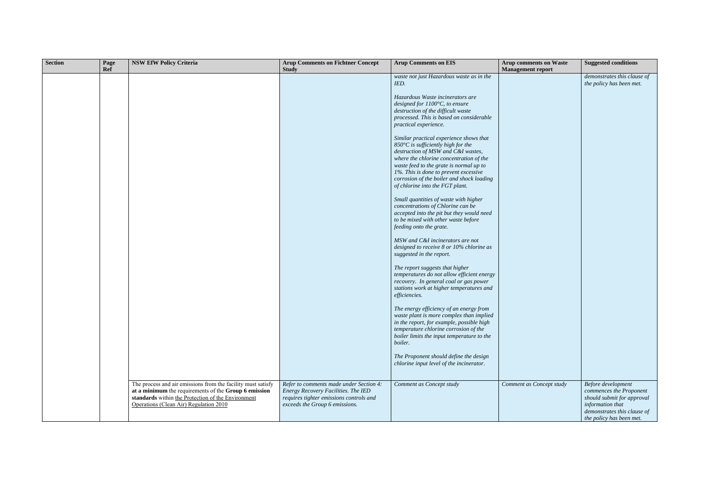| <b>Section</b> | Page<br>Ref | <b>NSW EfW Policy Criteria</b>                                                                                                                                                                                        | <b>Arup Comments on Fichtner Concept</b><br><b>Study</b>                                                                                                    | <b>Arup Comments on EIS</b>                                                                                                                                                                                                                                                                                                                  | <b>Arup comments on Waste</b><br><b>Management report</b> | <b>Suggested conditions</b>                                                                                                                                |
|----------------|-------------|-----------------------------------------------------------------------------------------------------------------------------------------------------------------------------------------------------------------------|-------------------------------------------------------------------------------------------------------------------------------------------------------------|----------------------------------------------------------------------------------------------------------------------------------------------------------------------------------------------------------------------------------------------------------------------------------------------------------------------------------------------|-----------------------------------------------------------|------------------------------------------------------------------------------------------------------------------------------------------------------------|
|                |             |                                                                                                                                                                                                                       |                                                                                                                                                             | waste not just Hazardous waste as in the<br>IED.                                                                                                                                                                                                                                                                                             |                                                           | demonstrates this clause of<br>the policy has been met.                                                                                                    |
|                |             |                                                                                                                                                                                                                       |                                                                                                                                                             | Hazardous Waste incinerators are<br>designed for $1100^{\circ}$ C, to ensure<br>destruction of the difficult waste<br>processed. This is based on considerable<br>practical experience.                                                                                                                                                      |                                                           |                                                                                                                                                            |
|                |             |                                                                                                                                                                                                                       |                                                                                                                                                             | Similar practical experience shows that<br>850 $\degree$ C is sufficiently high for the<br>destruction of MSW and C&I wastes,<br>where the chlorine concentration of the<br>waste feed to the grate is normal up to<br>1%. This is done to prevent excessive<br>corrosion of the boiler and shock loading<br>of chlorine into the FGT plant. |                                                           |                                                                                                                                                            |
|                |             |                                                                                                                                                                                                                       |                                                                                                                                                             | Small quantities of waste with higher<br>concentrations of Chlorine can be<br>accepted into the pit but they would need<br>to be mixed with other waste before<br>feeding onto the grate.                                                                                                                                                    |                                                           |                                                                                                                                                            |
|                |             |                                                                                                                                                                                                                       |                                                                                                                                                             | MSW and C&I incinerators are not<br>designed to receive 8 or 10% chlorine as<br>suggested in the report.                                                                                                                                                                                                                                     |                                                           |                                                                                                                                                            |
|                |             |                                                                                                                                                                                                                       |                                                                                                                                                             | The report suggests that higher<br>temperatures do not allow efficient energy<br>recovery. In general coal or gas power<br>stations work at higher temperatures and<br>efficiencies.                                                                                                                                                         |                                                           |                                                                                                                                                            |
|                |             |                                                                                                                                                                                                                       |                                                                                                                                                             | The energy efficiency of an energy from<br>waste plant is more complex than implied<br>in the report, for example, possible high<br>temperature chlorine corrosion of the<br>boiler limits the input temperature to the<br>boiler.                                                                                                           |                                                           |                                                                                                                                                            |
|                |             |                                                                                                                                                                                                                       |                                                                                                                                                             | The Proponent should define the design<br>chlorine input level of the incinerator.                                                                                                                                                                                                                                                           |                                                           |                                                                                                                                                            |
|                |             | The process and air emissions from the facility must satisfy<br>at a minimum the requirements of the Group 6 emission<br>standards within the Protection of the Environment<br>Operations (Clean Air) Regulation 2010 | Refer to comments made under Section 4:<br>Energy Recovery Facilities. The IED<br>requires tighter emissions controls and<br>exceeds the Group 6 emissions. | Comment as Concept study                                                                                                                                                                                                                                                                                                                     | Comment as Concept study                                  | Before development<br>commences the Proponent<br>should submit for approval<br>information that<br>demonstrates this clause of<br>the policy has been met. |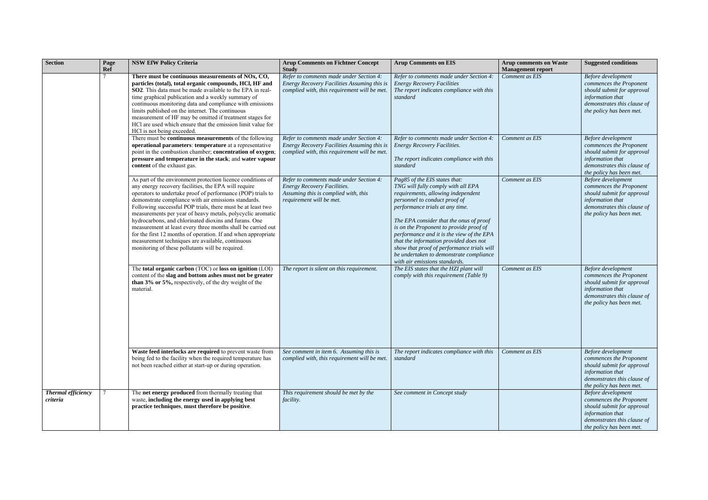| <b>Section</b><br>Page<br><b>Ref</b>  | <b>NSW EfW Policy Criteria</b>                                                                                                                                                                                                                                                                                                                                                                                                                                                                                                                                                                                                                                            | <b>Arup Comments on Fichtner Concept</b><br><b>Study</b>                                                                                          | <b>Arup Comments on EIS</b>                                                                                                                                                                                                                                                                                                                                                                                                                                                          | <b>Arup comments on Waste</b><br><b>Management report</b> | <b>Suggested conditions</b>                                                                                                                                |
|---------------------------------------|---------------------------------------------------------------------------------------------------------------------------------------------------------------------------------------------------------------------------------------------------------------------------------------------------------------------------------------------------------------------------------------------------------------------------------------------------------------------------------------------------------------------------------------------------------------------------------------------------------------------------------------------------------------------------|---------------------------------------------------------------------------------------------------------------------------------------------------|--------------------------------------------------------------------------------------------------------------------------------------------------------------------------------------------------------------------------------------------------------------------------------------------------------------------------------------------------------------------------------------------------------------------------------------------------------------------------------------|-----------------------------------------------------------|------------------------------------------------------------------------------------------------------------------------------------------------------------|
|                                       | There must be continuous measurements of NOx, CO,<br>particles (total), total organic compounds, HCl, HF and<br>SO2. This data must be made available to the EPA in real-<br>time graphical publication and a weekly summary of<br>continuous monitoring data and compliance with emissions<br>limits published on the internet. The continuous<br>measurement of HF may be omitted if treatment stages for<br>HCl are used which ensure that the emission limit value for<br>HCl is not being exceeded.                                                                                                                                                                  | Refer to comments made under Section 4:<br>Energy Recovery Facilities Assuming this is<br>complied with, this requirement will be met.            | Refer to comments made under Section 4:<br><b>Energy Recovery Facilities</b><br>The report indicates compliance with this<br>standard                                                                                                                                                                                                                                                                                                                                                | Comment as EIS                                            | Before development<br>commences the Proponent<br>should submit for approval<br>information that<br>demonstrates this clause of<br>the policy has been met. |
|                                       | There must be <b>continuous measurements</b> of the following<br>operational parameters: temperature at a representative<br>point in the combustion chamber; concentration of oxygen;<br>pressure and temperature in the stack; and water vapour<br>content of the exhaust gas.                                                                                                                                                                                                                                                                                                                                                                                           | Refer to comments made under Section 4:<br>Energy Recovery Facilities Assuming this is<br>complied with, this requirement will be met.            | Refer to comments made under Section 4:<br><b>Energy Recovery Facilities.</b><br>The report indicates compliance with this<br>standard                                                                                                                                                                                                                                                                                                                                               | Comment as EIS                                            | Before development<br>commences the Proponent<br>should submit for approval<br>information that<br>demonstrates this clause of<br>the policy has been met. |
|                                       | As part of the environment protection licence conditions of<br>any energy recovery facilities, the EPA will require<br>operators to undertake proof of performance (POP) trials to<br>demonstrate compliance with air emissions standards.<br>Following successful POP trials, there must be at least two<br>measurements per year of heavy metals, polycyclic aromatic<br>hydrocarbons, and chlorinated dioxins and furans. One<br>measurement at least every three months shall be carried out<br>for the first 12 months of operation. If and when appropriate<br>measurement techniques are available, continuous<br>monitoring of these pollutants will be required. | Refer to comments made under Section 4:<br><b>Energy Recovery Facilities.</b><br>Assuming this is complied with, this<br>requirement will be met. | Pag85 of the EIS states that:<br>TNG will fully comply with all EPA<br>requirements, allowing independent<br>personnel to conduct proof of<br>performance trials at any time.<br>The EPA consider that the onus of proof<br>is on the Proponent to provide proof of<br>performance and it is the view of the EPA<br>that the information provided does not<br>show that proof of performance trials will<br>be undertaken to demonstrate compliance<br>with air emissions standards. | Comment as EIS                                            | Before development<br>commences the Proponent<br>should submit for approval<br>information that<br>demonstrates this clause of<br>the policy has been met. |
|                                       | The total organic carbon (TOC) or loss on ignition (LOI)<br>content of the slag and bottom ashes must not be greater<br>than $3\%$ or $5\%$ , respectively, of the dry weight of the<br>material.                                                                                                                                                                                                                                                                                                                                                                                                                                                                         | The report is silent on this requirement.                                                                                                         | The EIS states that the HZI plant will<br>comply with this requirement (Table 9)                                                                                                                                                                                                                                                                                                                                                                                                     | Comment as EIS                                            | Before development<br>commences the Proponent<br>should submit for approval<br>information that<br>demonstrates this clause of<br>the policy has been met. |
|                                       | Waste feed interlocks are required to prevent waste from<br>being fed to the facility when the required temperature has<br>not been reached either at start-up or during operation.                                                                                                                                                                                                                                                                                                                                                                                                                                                                                       | See comment in item 6. Assuming this is<br>complied with, this requirement will be met.                                                           | The report indicates compliance with this<br>standard                                                                                                                                                                                                                                                                                                                                                                                                                                | Comment as EIS                                            | Before development<br>commences the Proponent<br>should submit for approval<br>information that<br>demonstrates this clause of<br>the policy has been met. |
| <b>Thermal efficiency</b><br>criteria | The net energy produced from thermally treating that<br>waste, including the energy used in applying best<br>practice techniques, must therefore be positive.                                                                                                                                                                                                                                                                                                                                                                                                                                                                                                             | This requirement should be met by the<br>facility.                                                                                                | See comment in Concept study                                                                                                                                                                                                                                                                                                                                                                                                                                                         |                                                           | Before development<br>commences the Proponent<br>should submit for approval<br>information that<br>demonstrates this clause of<br>the policy has been met. |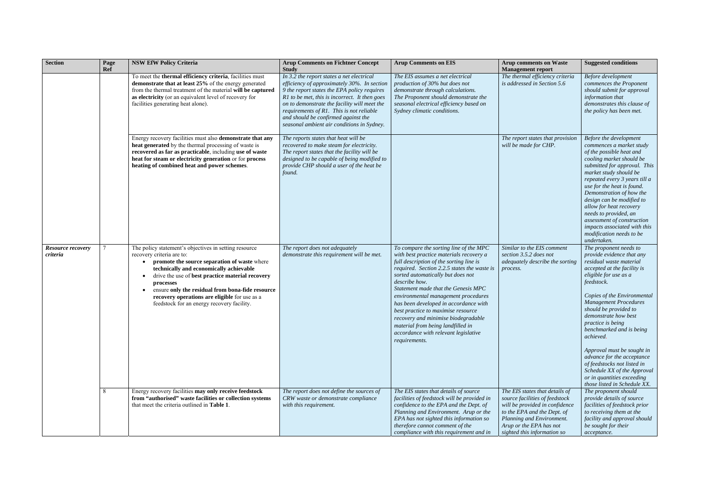| <b>Section</b>                       | Page<br>Ref | <b>NSW EfW Policy Criteria</b>                                                                                                                                                                                                                                                                                                                                                                                 | <b>Arup Comments on Fichtner Concept</b><br><b>Study</b>                                                                                                                                                                                                                                                                                                                  | <b>Arup Comments on EIS</b>                                                                                                                                                                                                                                                                                                                                                                                                                                                                                                                | <b>Arup comments on Waste</b><br><b>Management report</b>                                                                                                                                                                | <b>Suggested conditions</b>                                                                                                                                                                                                                                                                                                                                                                                                                                                                                                |
|--------------------------------------|-------------|----------------------------------------------------------------------------------------------------------------------------------------------------------------------------------------------------------------------------------------------------------------------------------------------------------------------------------------------------------------------------------------------------------------|---------------------------------------------------------------------------------------------------------------------------------------------------------------------------------------------------------------------------------------------------------------------------------------------------------------------------------------------------------------------------|--------------------------------------------------------------------------------------------------------------------------------------------------------------------------------------------------------------------------------------------------------------------------------------------------------------------------------------------------------------------------------------------------------------------------------------------------------------------------------------------------------------------------------------------|--------------------------------------------------------------------------------------------------------------------------------------------------------------------------------------------------------------------------|----------------------------------------------------------------------------------------------------------------------------------------------------------------------------------------------------------------------------------------------------------------------------------------------------------------------------------------------------------------------------------------------------------------------------------------------------------------------------------------------------------------------------|
|                                      |             | To meet the thermal efficiency criteria, facilities must<br>demonstrate that at least 25% of the energy generated<br>from the thermal treatment of the material will be captured<br>as electricity (or an equivalent level of recovery for<br>facilities generating heat alone).                                                                                                                               | In 3.2 the report states a net electrical<br>efficiency of approximately 30%. In section<br>9 the report states the EPA policy requires<br>R1 to be met, this is incorrect. It then goes<br>on to demonstrate the facility will meet the<br>requirements of R1. This is not reliable<br>and should be confirmed against the<br>seasonal ambient air conditions in Sydney. | The EIS assumes a net electrical<br>production of 30% but does not<br>demonstrate through calculations.<br>The Proponent should demonstrate the<br>seasonal electrical efficiency based on<br>Sydney climatic conditions.                                                                                                                                                                                                                                                                                                                  | The thermal efficiency criteria<br>is addressed in Section 5.6                                                                                                                                                           | Before development<br>commences the Proponent<br>should submit for approval<br>information that<br>demonstrates this clause of<br>the policy has been met.                                                                                                                                                                                                                                                                                                                                                                 |
|                                      |             | Energy recovery facilities must also demonstrate that any<br>heat generated by the thermal processing of waste is<br>recovered as far as practicable, including use of waste<br>heat for steam or electricity generation or for process<br>heating of combined heat and power schemes.                                                                                                                         | The reports states that heat will be<br>recovered to make steam for electricity.<br>The report states that the facility will be<br>designed to be capable of being modified to<br>provide CHP should a user of the heat be<br>found.                                                                                                                                      |                                                                                                                                                                                                                                                                                                                                                                                                                                                                                                                                            | The report states that provision<br>will be made for CHP.                                                                                                                                                                | Before the development<br>commences a market study<br>of the possible heat and<br>cooling market should be<br>submitted for approval. This<br>market study should be<br>repeated every 3 years till a<br>use for the heat is found.<br>Demonstration of how the<br>design can be modified to<br>allow for heat recovery<br>needs to provided, an<br>assessment of construction<br>impacts associated with this<br>modification needs to be<br>undertaken.                                                                  |
| <b>Resource recovery</b><br>criteria |             | The policy statement's objectives in setting resource<br>recovery criteria are to:<br>promote the source separation of waste where<br>technically and economically achievable<br>drive the use of best practice material recovery<br>processes<br>ensure only the residual from bona-fide resource<br>$\bullet$<br>recovery operations are eligible for use as a<br>feedstock for an energy recovery facility. | The report does not adequately<br>demonstrate this requirement will be met.                                                                                                                                                                                                                                                                                               | To compare the sorting line of the MPC<br>with best practice materials recovery a<br>full description of the sorting line is<br>required. Section 2.2.5 states the waste is<br>sorted automatically but does not<br>describe how.<br>Statement made that the Genesis MPC<br>environmental management procedures<br>has been developed in accordance with<br>best practice to maximise resource<br>recovery and minimise biodegradable<br>material from being landfilled in<br>accordance with relevant legislative<br><i>requirements.</i> | Similar to the EIS comment<br>section 3.5.2 does not<br>adequately describe the sorting<br>process.                                                                                                                      | The proponent needs to<br>provide evidence that any<br>residual waste material<br>accepted at the facility is<br>eligible for use as a<br>feedstock.<br>Copies of the Environmental<br><b>Management Procedures</b><br>should be provided to<br>demonstrate how best<br>practice is being<br>benchmarked and is being<br>achieved.<br>Approval must be sought in<br>advance for the acceptance<br>of feedstocks not listed in<br>Schedule XX of the Approval<br>or in quantities exceeding<br>those listed in Schedule XX. |
|                                      | 8           | Energy recovery facilities may only receive feedstock<br>from "authorised" waste facilities or collection systems<br>that meet the criteria outlined in Table 1.                                                                                                                                                                                                                                               | The report does not define the sources of<br>CRW waste or demonstrate compliance<br>with this requirement.                                                                                                                                                                                                                                                                | The EIS states that details of source<br>facilities of feedstock will be provided in<br>confidence to the EPA and the Dept. of<br>Planning and Environment. Arup or the<br>EPA has not sighted this information so<br>therefore cannot comment of the<br>compliance with this requirement and in                                                                                                                                                                                                                                           | The EIS states that details of<br>source facilities of feedstock<br>will be provided in confidence<br>to the EPA and the Dept. of<br>Planning and Environment.<br>Arup or the EPA has not<br>sighted this information so | The proponent should<br>provide details of source<br>facilities of feedstock prior<br>to receiving them at the<br>facility and approval should<br>be sought for their<br>acceptance.                                                                                                                                                                                                                                                                                                                                       |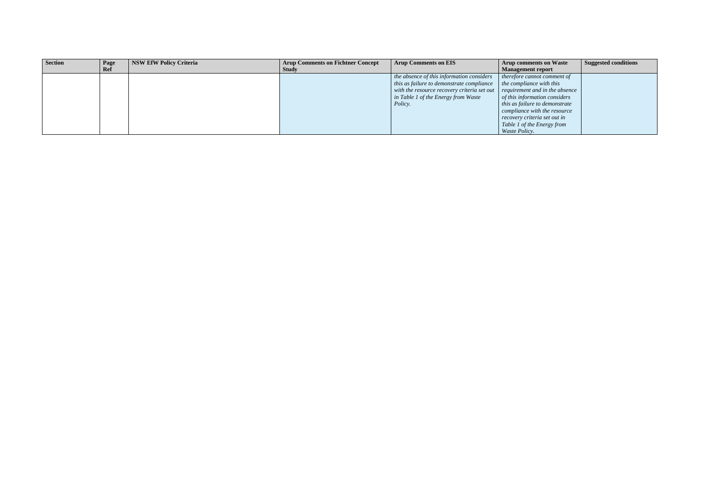| <b>Section</b> | Page | <b>NSW EfW Policy Criteria</b> | <b>Arup Comments on Fichtner Concept</b> | <b>Arup Comments on EIS</b>                                                       | <b>Arup comments on Waste</b>        | <b>Suggested conditions</b> |
|----------------|------|--------------------------------|------------------------------------------|-----------------------------------------------------------------------------------|--------------------------------------|-----------------------------|
|                | Ref  |                                | <b>Study</b>                             |                                                                                   | Management report                    |                             |
|                |      |                                |                                          | the absence of this information considers                                         | $\mid$ therefore cannot comment of   |                             |
|                |      |                                |                                          | this as failure to demonstrate compliance                                         | $\mid$ the compliance with this      |                             |
|                |      |                                |                                          | with the resource recovery criteria set out $\mid$ requirement and in the absence |                                      |                             |
|                |      |                                |                                          | in Table 1 of the Energy from Waste                                               | $\int$ of this information considers |                             |
|                |      |                                |                                          | Policy.                                                                           | this as failure to demonstrate       |                             |
|                |      |                                |                                          |                                                                                   | compliance with the resource         |                             |
|                |      |                                |                                          |                                                                                   | recovery criteria set out in         |                             |
|                |      |                                |                                          |                                                                                   | Table 1 of the Energy from           |                             |
|                |      |                                |                                          |                                                                                   | <i>Waste Policy.</i>                 |                             |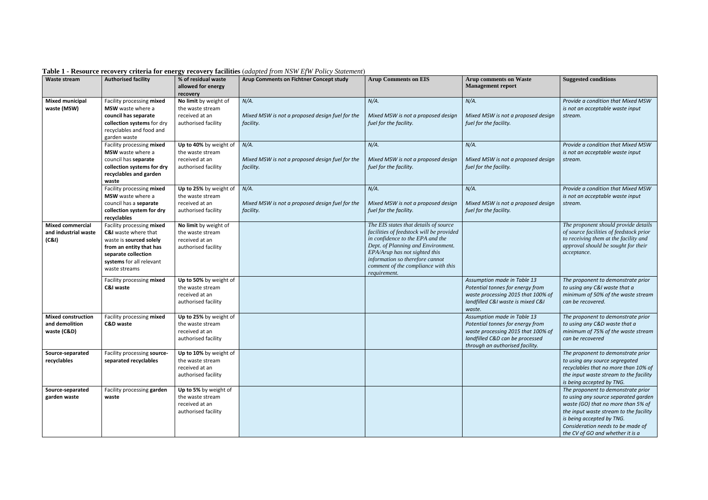| Waste stream              | <b>Authorised facility</b>  | % of residual waste               | able 1 Resource Fecovery criteria for energy recovery naturally (that prototion $E_{\rm p}$ is following bindentially<br>Arup Comments on Fichtner Concept study | <b>Arup Comments on EIS</b>                                      | <b>Arup comments on Waste</b>      | <b>Suggested conditions</b>             |
|---------------------------|-----------------------------|-----------------------------------|------------------------------------------------------------------------------------------------------------------------------------------------------------------|------------------------------------------------------------------|------------------------------------|-----------------------------------------|
|                           |                             | allowed for energy                |                                                                                                                                                                  |                                                                  | <b>Management report</b>           |                                         |
| <b>Mixed municipal</b>    | Facility processing mixed   | recovery<br>No limit by weight of | $N/A$ .                                                                                                                                                          | $N/A$ .                                                          | $N/A$ .                            | Provide a condition that Mixed MSW      |
| waste (MSW)               | <b>MSW</b> waste where a    | the waste stream                  |                                                                                                                                                                  |                                                                  |                                    | is not an acceptable waste input        |
|                           | council has separate        | received at an                    | Mixed MSW is not a proposed design fuel for the                                                                                                                  | Mixed MSW is not a proposed design                               | Mixed MSW is not a proposed design | stream.                                 |
|                           | collection systems for dry  | authorised facility               | facility.                                                                                                                                                        | fuel for the facility.                                           | fuel for the facility.             |                                         |
|                           | recyclables and food and    |                                   |                                                                                                                                                                  |                                                                  |                                    |                                         |
|                           | garden waste                |                                   |                                                                                                                                                                  |                                                                  |                                    |                                         |
|                           | Facility processing mixed   | Up to 40% by weight of            | $N/A$ .                                                                                                                                                          | $N/A$ .                                                          | $N/A$ .                            | Provide a condition that Mixed MSW      |
|                           | MSW waste where a           | the waste stream                  |                                                                                                                                                                  |                                                                  |                                    | is not an acceptable waste input        |
|                           | council has separate        | received at an                    | Mixed MSW is not a proposed design fuel for the                                                                                                                  | Mixed MSW is not a proposed design                               | Mixed MSW is not a proposed design | stream.                                 |
|                           | collection systems for dry  | authorised facility               | facility.                                                                                                                                                        | fuel for the facility.                                           | fuel for the facility.             |                                         |
|                           | recyclables and garden      |                                   |                                                                                                                                                                  |                                                                  |                                    |                                         |
|                           | waste                       |                                   |                                                                                                                                                                  |                                                                  |                                    |                                         |
|                           | Facility processing mixed   | Up to 25% by weight of            | $N/A$ .                                                                                                                                                          | $N/A$ .                                                          | $N/A$ .                            | Provide a condition that Mixed MSW      |
|                           | MSW waste where a           | the waste stream                  |                                                                                                                                                                  |                                                                  |                                    | is not an acceptable waste input        |
|                           | council has a separate      | received at an                    | Mixed MSW is not a proposed design fuel for the                                                                                                                  | Mixed MSW is not a proposed design                               | Mixed MSW is not a proposed design | stream.                                 |
|                           | collection system for dry   | authorised facility               | facility.                                                                                                                                                        | fuel for the facility.                                           | fuel for the facility.             |                                         |
|                           | recyclables                 |                                   |                                                                                                                                                                  |                                                                  |                                    |                                         |
| <b>Mixed commercial</b>   | Facility processing mixed   | No limit by weight of             |                                                                                                                                                                  | The EIS states that details of source                            |                                    | The proponent should provide details    |
| and industrial waste      | C&I waste where that        | the waste stream                  |                                                                                                                                                                  | facilities of feedstock will be provided                         |                                    | of source facilities of feedstock prior |
| (C&I)                     | waste is sourced solely     | received at an                    |                                                                                                                                                                  | in confidence to the EPA and the                                 |                                    | to receiving them at the facility and   |
|                           | from an entity that has     | authorised facility               |                                                                                                                                                                  | Dept. of Planning and Environment.                               |                                    | approval should be sought for their     |
|                           | separate collection         |                                   |                                                                                                                                                                  | EPA/Arup has not sighted this<br>information so therefore cannot |                                    | acceptance.                             |
|                           | systems for all relevant    |                                   |                                                                                                                                                                  | comment of the compliance with this                              |                                    |                                         |
|                           | waste streams               |                                   |                                                                                                                                                                  | requirement.                                                     |                                    |                                         |
|                           | Facility processing mixed   | Up to 50% by weight of            |                                                                                                                                                                  |                                                                  | Assumption made in Table 13        | The proponent to demonstrate prior      |
|                           | <b>C&amp;I waste</b>        | the waste stream                  |                                                                                                                                                                  |                                                                  | Potential tonnes for energy from   | to using any C&I waste that a           |
|                           |                             | received at an                    |                                                                                                                                                                  |                                                                  | waste processing 2015 that 100% of | minimum of 50% of the waste stream      |
|                           |                             | authorised facility               |                                                                                                                                                                  |                                                                  | landfilled C&I waste is mixed C&I  | can be recovered.                       |
|                           |                             |                                   |                                                                                                                                                                  |                                                                  | waste.                             |                                         |
| <b>Mixed construction</b> | Facility processing mixed   | Up to 25% by weight of            |                                                                                                                                                                  |                                                                  | Assumption made in Table 13        | The proponent to demonstrate prior      |
| and demolition            | <b>C&amp;D</b> waste        | the waste stream                  |                                                                                                                                                                  |                                                                  | Potential tonnes for energy from   | to using any C&D waste that a           |
| waste (C&D)               |                             | received at an                    |                                                                                                                                                                  |                                                                  | waste processing 2015 that 100% of | minimum of 75% of the waste stream      |
|                           |                             | authorised facility               |                                                                                                                                                                  |                                                                  | landfilled C&D can be processed    | can be recovered                        |
| Source-separated          | Facility processing source- | Up to 10% by weight of            |                                                                                                                                                                  |                                                                  | through an authorised facility.    | The proponent to demonstrate prior      |
| recyclables               | separated recyclables       | the waste stream                  |                                                                                                                                                                  |                                                                  |                                    | to using any source segregated          |
|                           |                             | received at an                    |                                                                                                                                                                  |                                                                  |                                    | recyclables that no more than 10% of    |
|                           |                             | authorised facility               |                                                                                                                                                                  |                                                                  |                                    | the input waste stream to the facility  |
|                           |                             |                                   |                                                                                                                                                                  |                                                                  |                                    | is being accepted by TNG.               |
| Source-separated          | Facility processing garden  | Up to 5% by weight of             |                                                                                                                                                                  |                                                                  |                                    | The proponent to demonstrate prior      |
| garden waste              | waste                       | the waste stream                  |                                                                                                                                                                  |                                                                  |                                    | to using any source separated garden    |
|                           |                             | received at an                    |                                                                                                                                                                  |                                                                  |                                    | waste (GO) that no more than 5% of      |
|                           |                             | authorised facility               |                                                                                                                                                                  |                                                                  |                                    | the input waste stream to the facility  |
|                           |                             |                                   |                                                                                                                                                                  |                                                                  |                                    | is being accepted by TNG.               |
|                           |                             |                                   |                                                                                                                                                                  |                                                                  |                                    | Consideration needs to be made of       |
|                           |                             |                                   |                                                                                                                                                                  |                                                                  |                                    | the CV of GO and whether it is a        |

**Table 1 - Resource recovery criteria for energy recovery facilities** (*adapted from NSW EfW Policy Statement*)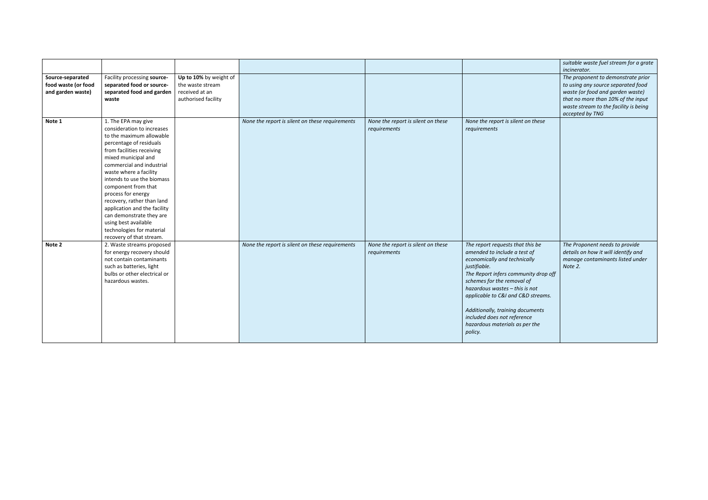|                                                              |                                                                                                                                                                                                                                                                                                                                                                                                                                                                           |                                                                                     |                                                 |                                                    |                                                                                                                                                                                                                                                                                                                                                                                | suitable waste fuel stream for a grate<br>incinerator.                                                                                                                                                         |
|--------------------------------------------------------------|---------------------------------------------------------------------------------------------------------------------------------------------------------------------------------------------------------------------------------------------------------------------------------------------------------------------------------------------------------------------------------------------------------------------------------------------------------------------------|-------------------------------------------------------------------------------------|-------------------------------------------------|----------------------------------------------------|--------------------------------------------------------------------------------------------------------------------------------------------------------------------------------------------------------------------------------------------------------------------------------------------------------------------------------------------------------------------------------|----------------------------------------------------------------------------------------------------------------------------------------------------------------------------------------------------------------|
| Source-separated<br>food waste (or food<br>and garden waste) | Facility processing source-<br>separated food or source-<br>separated food and garden<br>waste                                                                                                                                                                                                                                                                                                                                                                            | Up to 10% by weight of<br>the waste stream<br>received at an<br>authorised facility |                                                 |                                                    |                                                                                                                                                                                                                                                                                                                                                                                | The proponent to demonstrate prior<br>to using any source separated food<br>waste (or food and garden waste)<br>that no more than 10% of the input<br>waste stream to the facility is being<br>accepted by TNG |
| Note 1                                                       | 1. The EPA may give<br>consideration to increases<br>to the maximum allowable<br>percentage of residuals<br>from facilities receiving<br>mixed municipal and<br>commercial and industrial<br>waste where a facility<br>intends to use the biomass<br>component from that<br>process for energy<br>recovery, rather than land<br>application and the facility<br>can demonstrate they are<br>using best available<br>technologies for material<br>recovery of that stream. |                                                                                     | None the report is silent on these requirements | None the report is silent on these<br>requirements | None the report is silent on these<br>requirements                                                                                                                                                                                                                                                                                                                             |                                                                                                                                                                                                                |
| Note 2                                                       | 2. Waste streams proposed<br>for energy recovery should<br>not contain contaminants<br>such as batteries, light<br>bulbs or other electrical or<br>hazardous wastes.                                                                                                                                                                                                                                                                                                      |                                                                                     | None the report is silent on these requirements | None the report is silent on these<br>requirements | The report requests that this be<br>amended to include a test of<br>economically and technically<br>justifiable.<br>The Report infers community drop off<br>schemes for the removal of<br>hazardous wastes - this is not<br>applicable to C&I and C&D streams.<br>Additionally, training documents<br>included does not reference<br>hazardous materials as per the<br>policy. | The Proponent needs to provide<br>details on how it will identify and<br>manage contaminants listed under<br>Note 2.                                                                                           |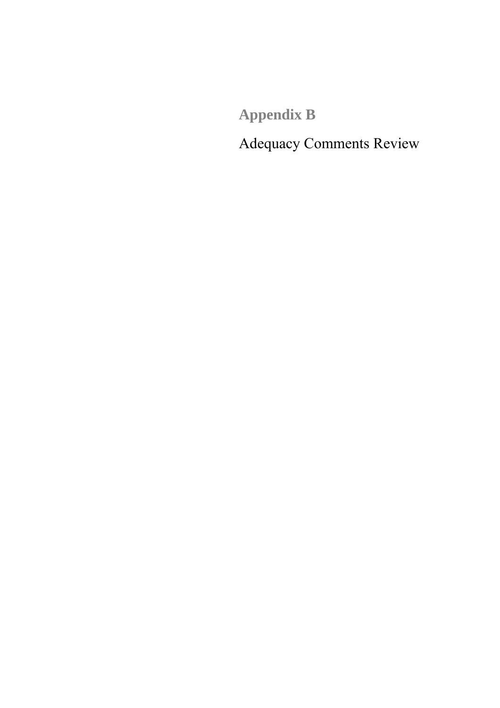**Appendix B**

Adequacy Comments Review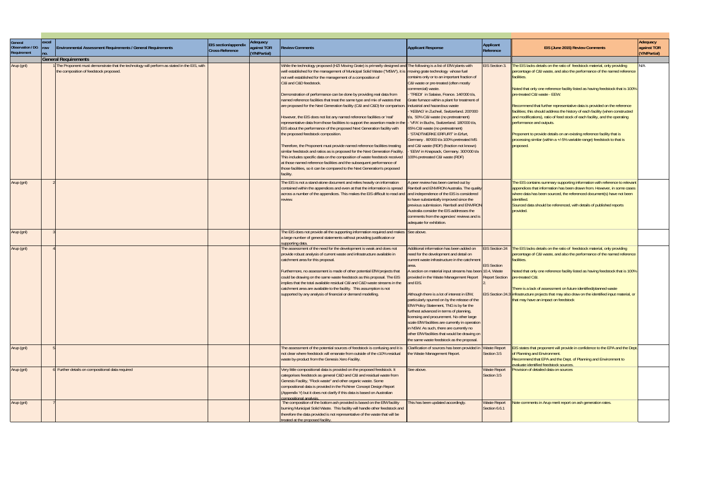| General<br><b>Observation / DG</b><br>Requirement | excel<br>row<br>no. | <b>Environmental Assessment Requirements / General Requirements</b>                                                                                                 | <b>EIS</b> section/appendix<br>Cross-Reference | Adequacy<br>against TOR<br>(Y/N/Partial) | <b>Review Comments</b>                                                                                                                                                                                                                                                                                                                                                                                                                                                                                                                                                                                                                                                                                                                                                                                                                                                                                                                                                                                                                                                                                                                                                                                                  | <b>Applicant Response</b>                                                                                                                                                                                                                                                                                                                                                                                                                                                                                                                                                                                                                                                                                                          | Applicant<br>Reference                    | EIS (June 2015) Review Comments                                                                                                                                                                                                                                                                                                                                                                                                                                                                                                                                                                                                                                                                                                 | Adequacy<br>against TOR<br>(Y/N/Partial) |
|---------------------------------------------------|---------------------|---------------------------------------------------------------------------------------------------------------------------------------------------------------------|------------------------------------------------|------------------------------------------|-------------------------------------------------------------------------------------------------------------------------------------------------------------------------------------------------------------------------------------------------------------------------------------------------------------------------------------------------------------------------------------------------------------------------------------------------------------------------------------------------------------------------------------------------------------------------------------------------------------------------------------------------------------------------------------------------------------------------------------------------------------------------------------------------------------------------------------------------------------------------------------------------------------------------------------------------------------------------------------------------------------------------------------------------------------------------------------------------------------------------------------------------------------------------------------------------------------------------|------------------------------------------------------------------------------------------------------------------------------------------------------------------------------------------------------------------------------------------------------------------------------------------------------------------------------------------------------------------------------------------------------------------------------------------------------------------------------------------------------------------------------------------------------------------------------------------------------------------------------------------------------------------------------------------------------------------------------------|-------------------------------------------|---------------------------------------------------------------------------------------------------------------------------------------------------------------------------------------------------------------------------------------------------------------------------------------------------------------------------------------------------------------------------------------------------------------------------------------------------------------------------------------------------------------------------------------------------------------------------------------------------------------------------------------------------------------------------------------------------------------------------------|------------------------------------------|
|                                                   |                     |                                                                                                                                                                     |                                                |                                          |                                                                                                                                                                                                                                                                                                                                                                                                                                                                                                                                                                                                                                                                                                                                                                                                                                                                                                                                                                                                                                                                                                                                                                                                                         |                                                                                                                                                                                                                                                                                                                                                                                                                                                                                                                                                                                                                                                                                                                                    |                                           |                                                                                                                                                                                                                                                                                                                                                                                                                                                                                                                                                                                                                                                                                                                                 |                                          |
| Arup (gnl)                                        |                     | <b>General Requirements</b><br>The Proponent must demonstrate that the technology will perform as stated in the EIS, with<br>the composition of feedstock proposed. |                                                |                                          | While the technology proposed (HZI Moving Grate) is primarily designed and The following is a list of EfW plants with<br>well established for the management of Municipal Solid Waste ("MSW"), it is moving grate technology whose fuel<br>not well established for the management of a composition of<br>C&I and C&D feedstock.<br>Demonstration of performance can be done by providing real data from<br>named reference facilities that treat the same type and mix of wastes that<br>are proposed for the Next Generation facility (C&I and C&D) for comparison.<br>However, the EIS does not list any named reference facilities or 'real'<br>representative data from those facilities to support the assertion made in the   - 'VFA' in Buchs, Switzerland. 180'000 t/a,<br>EIS about the performance of the proposed Next Generation facility with<br>the proposed feedstock composition.<br>Therefore, the Proponent must provide named reference facilities treating<br>similar feedstock and ratios as is proposed for the Next Generation Facility.<br>This includes specific data on the composition of waste feedstock received<br>at those named reference facilities and the subsequent performance of | contains only or to an important fraction of<br>C&I waste or pre-treated (often mostly<br>commercial) waste.<br>TREDI' in Salaise, France. 146'000 t/a,<br>Grate furnace within a plant for treatment of<br>industrial and hazardous waste<br>KEBAG' in Zuchwil, Switzerland. 200'000<br>t/a, 50% C&I waste (no pretreatment)<br>65% C&I waste (no pretreatment)<br>'STADTWERKE ERFURT' in Erfurt,<br>Germany . 80'000 t/a 100% pretreated MS<br>and C&I waste (RDF) (fraction not known)<br>'EEW' in Knapsack, Germany. 300'000 t/a<br>100% pretreated C&I waste (RDF)                                                                                                                                                            | <b>EIS Section 3</b>                      | The EIS lacks details on the ratio of feedstock material, only providing<br>percentage of C&I waste, and also the performance of the named reference<br>facilities.<br>Noted that only one reference facility listed as having feedstock that is 100%<br>pre-treated C&I waste - EEW.<br>Recommend that further representative data is provided on the reference<br>facilities; this should address the history of each facility (when constructed<br>and modifications), ratio of feed stock of each facility, and the operating<br>performance and outputs.<br>Proponent to provide details on an existing reference facility that is<br>processing similar (within a +/-5% variable range) feedstock to that is<br>proposed. | N/A                                      |
|                                                   |                     |                                                                                                                                                                     |                                                |                                          | those facilities, so it can be compared to the Next Generation's proposed                                                                                                                                                                                                                                                                                                                                                                                                                                                                                                                                                                                                                                                                                                                                                                                                                                                                                                                                                                                                                                                                                                                                               |                                                                                                                                                                                                                                                                                                                                                                                                                                                                                                                                                                                                                                                                                                                                    |                                           |                                                                                                                                                                                                                                                                                                                                                                                                                                                                                                                                                                                                                                                                                                                                 |                                          |
| Arup (gnl)                                        |                     |                                                                                                                                                                     |                                                |                                          | facility.<br>The EIS is not a stand-alone document and relies heavily on information<br>contained within the appendices and even at that the information is spread<br>across a number of the appendices. This makes the EIS difficult to read and and independence of the EIS is considered<br>review.                                                                                                                                                                                                                                                                                                                                                                                                                                                                                                                                                                                                                                                                                                                                                                                                                                                                                                                  | peer review has been carried out by<br>Ramboll and ENVIRON Australia. The quality<br>to have substantially improved since the<br>previous submission. Ramboll and ENVIRON<br>Australia consider the EIS addresses the<br>comments from the agencies' reviews and is<br>adequate for exhibition.                                                                                                                                                                                                                                                                                                                                                                                                                                    |                                           | The EIS contains summary supporting information with reference to relevant<br>appendices that information has been drawn from. However, in some cases<br>where data has been sourced, the referenced document(s) have not been<br>identified.<br>Sourced data should be referenced, with details of published reports<br>provided.                                                                                                                                                                                                                                                                                                                                                                                              |                                          |
| Arup (gnl)                                        |                     |                                                                                                                                                                     |                                                |                                          | The EIS does not provide all the supporting information required and makes See above.<br>a large number of general statements without providing justification or                                                                                                                                                                                                                                                                                                                                                                                                                                                                                                                                                                                                                                                                                                                                                                                                                                                                                                                                                                                                                                                        |                                                                                                                                                                                                                                                                                                                                                                                                                                                                                                                                                                                                                                                                                                                                    |                                           |                                                                                                                                                                                                                                                                                                                                                                                                                                                                                                                                                                                                                                                                                                                                 |                                          |
| Arup (gnl)<br>Arup (gnl)                          |                     |                                                                                                                                                                     |                                                |                                          | supporting data.<br>The assessment of the need for the development is weak and does not<br>provide robust analysis of current waste and infrastructure available in<br>catchment area for this proposal.<br>Furthermore, no assessment is made of other potential EfW projects that<br>could be drawing on the same waste feedstock as this proposal. The EIS<br>implies that the total available residual C&I and C&D waste streams in the<br>catchment area are available to the facility. This assumption is not<br>supported by any analysis of financial or demand modelling.<br>The assessment of the potential sources of feedstock is confusing and it is                                                                                                                                                                                                                                                                                                                                                                                                                                                                                                                                                       | Additional information has been added on<br>need for the development and detail on<br>current waste infrastructure in the catchment<br>section on material input streams has been 10.4, Waste<br>rovided in the Waste Management Report<br>nd EIS.<br>Although there is a lot of interest in EfW,<br>particularly spurred on by the release of the<br>EfW Policy Statement, TNG is by far the<br>furthest advanced in terms of planning,<br>licensing and procurement. No other large<br>scale EfW facilities are currently in operation<br>in NSW. As such, there are currently no<br>other EfW facilities that would be drawing on<br>the same waste feedstock as the proposal.<br>Clarification of sources has been provided in | <b>EIS Section</b><br><b>Waste Report</b> | EIS Section 24 The EIS lacks details on the ratio of feedstock material, only providing<br>percentage of C&I waste, and also the performance of the named reference<br>facilities.<br>Noted that only one reference facility listed as having feedstock that is 100%<br>Report Section  pre-treated C&I.<br>There is a lack of assessment on future identified/planned waste<br>EIS Section 24.3 linfrastructure projects that may also draw on the identified input material, or<br>that may have an impact on feedstock<br>EIS states that proponent will provide in confidence to the EPA and the Dept.                                                                                                                      |                                          |
|                                                   |                     |                                                                                                                                                                     |                                                |                                          | not clear where feedstock will emanate from outside of the c10% residual<br>waste by-product from the Genesis Xero Facility.                                                                                                                                                                                                                                                                                                                                                                                                                                                                                                                                                                                                                                                                                                                                                                                                                                                                                                                                                                                                                                                                                            | the Waste Management Report.                                                                                                                                                                                                                                                                                                                                                                                                                                                                                                                                                                                                                                                                                                       | Section 3.5                               | of Planning and Environment.<br>Recommend that EPA and the Dept. of Planning and Environment to<br>evaluate identified feedstock sources.                                                                                                                                                                                                                                                                                                                                                                                                                                                                                                                                                                                       |                                          |
| Arup (gnl)                                        |                     | 6 Further details on compositional data required                                                                                                                    |                                                |                                          | Very little compositional data is provided on the proposed feedstock. It<br>categorises feedstock as general C&D and C&I and residual waste from<br>Genesis Facility, "Flock waste" and other organic waste. Some<br>compositional data is provided in the Fichtner Concept Design Report<br>(Appendix Y) but it does not clarify if this data is based on Australian<br>compositional analysis.                                                                                                                                                                                                                                                                                                                                                                                                                                                                                                                                                                                                                                                                                                                                                                                                                        | See above.                                                                                                                                                                                                                                                                                                                                                                                                                                                                                                                                                                                                                                                                                                                         | Waste Report<br>Section 3.5               | Provision of detailed data on sources                                                                                                                                                                                                                                                                                                                                                                                                                                                                                                                                                                                                                                                                                           |                                          |
| Arup (gnl)                                        |                     |                                                                                                                                                                     |                                                |                                          | The composition of the bottom ash provided is based on the EfW facility<br>burning Municipal Solid Waste. This facility will handle other feedstock and<br>therefore the data provided is not representative of the waste that will be<br>treated at the proposed facility.                                                                                                                                                                                                                                                                                                                                                                                                                                                                                                                                                                                                                                                                                                                                                                                                                                                                                                                                             | his has been updated accordingly.                                                                                                                                                                                                                                                                                                                                                                                                                                                                                                                                                                                                                                                                                                  | <b>Waste Report</b><br>Section 6.6.1      | lote comments in Arup merit report on ash generation rates.                                                                                                                                                                                                                                                                                                                                                                                                                                                                                                                                                                                                                                                                     |                                          |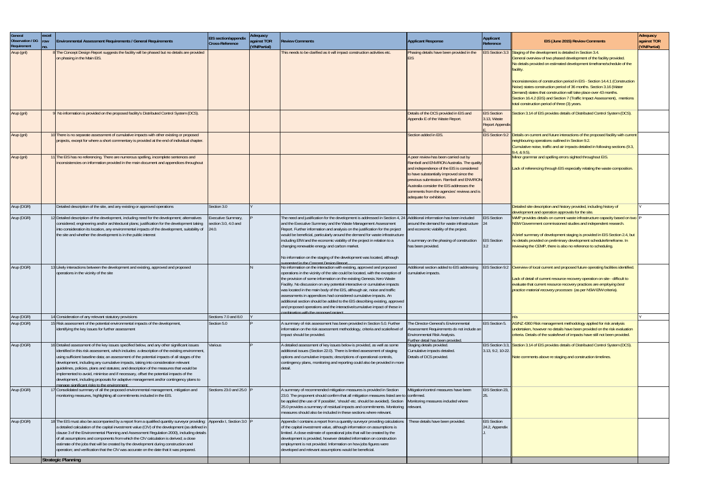| General<br>Observation / DG<br>Requirement | excel<br>row<br>no. | Environmental Assessment Requirements / General Requirements                                                                                                                                                                                                                                                                                                                                                                                                                                                                                                                                                                                                                                                | EIS section/appendix<br>Cross-Reference                   | Adequacy<br>against TOR<br>(Y/N/Partial) | <b>Review Comments</b>                                                                                                                                                                                                                                                                                                                                                                                                                                                                                                                                                                                                                                             | <b>Applicant Response</b>                                                                                                                                                                                                                                                                                                                      | Applicant<br>Reference                                      | EIS (June 2015) Review Comments                                                                                                                                                                                                                                                                                                                                                                                                                                                                                                                                                               | Adequacy<br>against TOR<br>(Y/N/Partial) |
|--------------------------------------------|---------------------|-------------------------------------------------------------------------------------------------------------------------------------------------------------------------------------------------------------------------------------------------------------------------------------------------------------------------------------------------------------------------------------------------------------------------------------------------------------------------------------------------------------------------------------------------------------------------------------------------------------------------------------------------------------------------------------------------------------|-----------------------------------------------------------|------------------------------------------|--------------------------------------------------------------------------------------------------------------------------------------------------------------------------------------------------------------------------------------------------------------------------------------------------------------------------------------------------------------------------------------------------------------------------------------------------------------------------------------------------------------------------------------------------------------------------------------------------------------------------------------------------------------------|------------------------------------------------------------------------------------------------------------------------------------------------------------------------------------------------------------------------------------------------------------------------------------------------------------------------------------------------|-------------------------------------------------------------|-----------------------------------------------------------------------------------------------------------------------------------------------------------------------------------------------------------------------------------------------------------------------------------------------------------------------------------------------------------------------------------------------------------------------------------------------------------------------------------------------------------------------------------------------------------------------------------------------|------------------------------------------|
| Arup (gnl)                                 |                     | The Concept Design Report suggests the facility will be phased but no details are provided<br>on phasing in the Main EIS.                                                                                                                                                                                                                                                                                                                                                                                                                                                                                                                                                                                   |                                                           |                                          | This needs to be clarified as it will impact construction activities etc.                                                                                                                                                                                                                                                                                                                                                                                                                                                                                                                                                                                          | Phasing details have been provided in the<br>EIS                                                                                                                                                                                                                                                                                               |                                                             | EIS Section 3.3 Staging of the development is detailed in Section 3.4.<br>General overview of two phased development of the facility provided.<br>No details provided on estimated development timeframe/schedule of the<br>facility.<br>Inconsistencies of construction period in EIS - Section 14.4.1 (Construction<br>Noise) states construction period of 36 months. Section 3.16 (Water<br>Demand) states that construction will take place over 43 months.<br>Section 16.4.2 (EIS) and Section 7 (Traffic Impact Assessment), mentions<br>total construction period of three (3) years. |                                          |
| Arup (gnl)                                 |                     | No information is provided on the proposed facility's Distributed Control System (DCS).                                                                                                                                                                                                                                                                                                                                                                                                                                                                                                                                                                                                                     |                                                           |                                          |                                                                                                                                                                                                                                                                                                                                                                                                                                                                                                                                                                                                                                                                    | Details of the DCS provided in EIS and<br>Appendix E of the Waste Report.                                                                                                                                                                                                                                                                      | <b>EIS Section</b><br>3.13, Waste<br><b>Report Appendix</b> | Section 3.14 of EIS provides details of Distributed Control System (DCS).                                                                                                                                                                                                                                                                                                                                                                                                                                                                                                                     |                                          |
| Arup (gnl)                                 |                     | 0 There is no separate assessment of cumulative impacts with other existing or proposed<br>projects, except for where a short commentary is provided at the end of individual chapter.                                                                                                                                                                                                                                                                                                                                                                                                                                                                                                                      |                                                           |                                          |                                                                                                                                                                                                                                                                                                                                                                                                                                                                                                                                                                                                                                                                    | Section added in EIS.                                                                                                                                                                                                                                                                                                                          |                                                             | EIS Section 9.2  Details on current and future interactions of the proposed facility with current<br>neighbouring operations outlined in Section 9.2.<br>Cumulative noise, traffic and air impacts detailed in following sections (9.3,<br>$9.4, 8.9.5$ ).                                                                                                                                                                                                                                                                                                                                    |                                          |
| Arup (gnl)                                 |                     | 11 The EIS has no referencing. There are numerous spelling, incomplete sentences and<br>inconsistencies on information provided in the main document and appendices throughout                                                                                                                                                                                                                                                                                                                                                                                                                                                                                                                              |                                                           |                                          |                                                                                                                                                                                                                                                                                                                                                                                                                                                                                                                                                                                                                                                                    | A peer review has been carried out by<br>Ramboll and ENVIRON Australia. The quality<br>and independence of the EIS is considered<br>to have substantially improved since the<br>previous submission. Ramboll and ENVIRON<br>Australia consider the EIS addresses the<br>comments from the agencies' reviews and is<br>adequate for exhibition. |                                                             | Minor grammar and spelling errors sighted throughout EIS.<br>Lack of referencing through EIS especially relating the waste composition.                                                                                                                                                                                                                                                                                                                                                                                                                                                       |                                          |
| Arup (DGR)                                 |                     | Detailed description of the site, and any existing or approved operations                                                                                                                                                                                                                                                                                                                                                                                                                                                                                                                                                                                                                                   | Section 3.0                                               |                                          |                                                                                                                                                                                                                                                                                                                                                                                                                                                                                                                                                                                                                                                                    |                                                                                                                                                                                                                                                                                                                                                |                                                             | Detailed site description and history provided, including history of<br>development and operation approvals for the site.                                                                                                                                                                                                                                                                                                                                                                                                                                                                     |                                          |
| Arup (DGR)                                 |                     | 12 Detailed description of the development, including need for the development; alternatives<br>considered; engineering and/or architectural plans; justification for the development taking<br>into consideration its location, any environmental impacts of the development, suitability of<br>the site and whether the development is in the public interest                                                                                                                                                                                                                                                                                                                                             | <b>Executive Summary</b><br>section 3.0, 4.0 and<br>24.0. |                                          | The need and justification for the development is addressed in Section 4, 24   Additional information has been included<br>and the Executive Summary and the Waste Management Assessment<br>Report. Further information and analysis on the justification for the project<br>would be beneficial, particularly around the demand for waste infrastructure<br>including EfW and the economic viability of the project in relation to a<br>changing renewable energy and carbon market.<br>No information on the staging of the development was located, although                                                                                                    | around the demand for waste infrastructure<br>and economic viability of the project.<br>A summary on the phasing of construction<br>has been provided.                                                                                                                                                                                         | <b>EIS Section</b><br>124<br><b>EIS Section</b><br>3.2      | WMP provides details on current waste infrastructure capacity based on two P<br>NSW Government commissioned studies and independent research.<br>A brief summary of development staging is provided in EIS Section 2.4, but<br>no details provided on preliminary development schedule/timeframe. In<br>reviewing the CEMP, there is also no reference to scheduling.                                                                                                                                                                                                                         |                                          |
| Arup (DGR)                                 |                     | 13 Likely interactions between the development and existing, approved and proposed<br>operations in the vicinity of the site                                                                                                                                                                                                                                                                                                                                                                                                                                                                                                                                                                                |                                                           |                                          | uggested in the Concept Design Report<br>No information on the interaction with existing, approved and proposed<br>operations in the vicinity of the site could be located, with the exception of<br>the provision of some information on the existing Genesis Xero Waste<br>Facility. No discussion on any potential interactive or cumulative impacts<br>was located in the main body of the EIS, although air, noise and traffic<br>assessments in appendices had considered cumulative impacts. An<br>additional section should be added to the EIS describing existing, approved<br>and proposed operations and the interactive/cumulative impact of these in | Additional section added to EIS addressing<br>cumulative impacts.                                                                                                                                                                                                                                                                              |                                                             | EIS Section 9.2 Overview of local current and proposed future operating facilities identified.<br>Lack of detail of current resource recovery operation on site - difficult to<br>evaluate that current resource recovery practices are employing best<br>practice material recovery processes (as per NSW EfW criteria).                                                                                                                                                                                                                                                                     |                                          |
| Arup (DGR)                                 |                     | 14 Consideration of any relevant statutory provisions                                                                                                                                                                                                                                                                                                                                                                                                                                                                                                                                                                                                                                                       | Sections 7.0 and 8.0                                      |                                          | ombination with the proposed project                                                                                                                                                                                                                                                                                                                                                                                                                                                                                                                                                                                                                               |                                                                                                                                                                                                                                                                                                                                                |                                                             |                                                                                                                                                                                                                                                                                                                                                                                                                                                                                                                                                                                               |                                          |
| Arup (DGR)                                 |                     | 15 Risk assessment of the potential environmental impacts of the development,<br>identifying the key issues for further assessment                                                                                                                                                                                                                                                                                                                                                                                                                                                                                                                                                                          | Section 5.0                                               |                                          | A summary of risk assessment has been provided in Section 5.0. Further<br>information on the risk assessment methodology, criteria and scale/level of<br>impact should be provided.                                                                                                                                                                                                                                                                                                                                                                                                                                                                                | The Director-General's Environmental<br>Assessment Requirements do not include an<br>Environmental Risk Analysis.<br>Further detail has been provided.                                                                                                                                                                                         | EIS Section 5.                                              | AS/NZ 4360 Risk management methodology applied for risk analysis<br>undertaken, however no details have been provided on the risk evaluation<br>criteria. Details of the scale/level of impacts have still not been provided.                                                                                                                                                                                                                                                                                                                                                                 |                                          |
| Arup (DGR)                                 |                     | 16 Detailed assessment of the key issues specified below, and any other significant issues<br>identified in this risk assessment, which includes: a description of the existing environment,<br>using sufficient baseline data; an assessment of the potential impacts of all stages of the<br>development, including any cumulative impacts, taking into consideration relevant<br>guidelines, policies, plans and statutes; and description of the measures that would be<br>implemented to avoid, minimise and if necessary, offset the potential impacts of the<br>development, including proposals for adaptive management and/or contingency plans to<br>manage significant risks to the environment: | Various                                                   |                                          | A detailed assessment of key issues below is provided, as well as some<br>additional issues (Section 22.0). There is limited assessment of staging<br>options and cumulative impacts; descriptions of operational controls,<br>contingency plans, monitoring and reporting could also be provided in more<br>detail.                                                                                                                                                                                                                                                                                                                                               | Staging details provided.<br>Cumulative impacts detailed.<br>Details of DCS provided.                                                                                                                                                                                                                                                          | 3.13, 9.2, 10-22.                                           | EIS Section 3.3, Section 3.14 of EIS provides details of Distributed Control System (DCS).<br>Note comments above re staging and construction timelines.                                                                                                                                                                                                                                                                                                                                                                                                                                      |                                          |
| Arup (DGR)                                 |                     | 17 Consolidated summary of all the proposed environmental management, mitigation and<br>monitoring measures, highlighting all commitments included in the EIS.                                                                                                                                                                                                                                                                                                                                                                                                                                                                                                                                              | Sections 23.0 and 25.0 P                                  |                                          | A summary of recommended mitigation measures is provided in Section<br>23.0. The proponent should confirm that all mitigation measures listed are to confirmed.<br>be applied (the use of 'if possible', 'should' etc. should be avoided). Section<br>25.0 provides a summary of residual impacts and commitments. Monitoring relevant.<br>measures should also be included in these sections where relevant.                                                                                                                                                                                                                                                      | Aitigation/control measures have been<br>Monitoring measures included where                                                                                                                                                                                                                                                                    | EIS Section 23,                                             |                                                                                                                                                                                                                                                                                                                                                                                                                                                                                                                                                                                               |                                          |
| Arup (DGR)                                 |                     | The EIS must also be accompanied by a report from a qualified quantity surveyor providing: Appendix I, Section 3.0 F<br>a detailed calculation of the capital investment value (CIV) of the development (as defined in<br>clause 3 of the Environmental Planning and Assessment Regulation 2000), including details<br>of all assumptions and components from which the CIV calculation is derived; a close<br>estimate of the jobs that will be created by the development during construction and<br>operation; and verification that the CIV was accurate on the date that it was prepared.                                                                                                              |                                                           |                                          | Appendix I contains a report from a quantity surveyor providing calculations<br>of the capital investment value, although information on assumptions is<br>limited. A close estimate of operational jobs that will be created by the<br>development is provided, however detailed information on construction<br>employment is not provided. Information on how jobs figures were<br>developed and relevant assumptions would be beneficial.                                                                                                                                                                                                                       | These details have been provided.                                                                                                                                                                                                                                                                                                              | <b>EIS Section</b><br>24.2, Appendix                        |                                                                                                                                                                                                                                                                                                                                                                                                                                                                                                                                                                                               |                                          |
|                                            |                     | Strategic Planning                                                                                                                                                                                                                                                                                                                                                                                                                                                                                                                                                                                                                                                                                          |                                                           |                                          |                                                                                                                                                                                                                                                                                                                                                                                                                                                                                                                                                                                                                                                                    |                                                                                                                                                                                                                                                                                                                                                |                                                             |                                                                                                                                                                                                                                                                                                                                                                                                                                                                                                                                                                                               |                                          |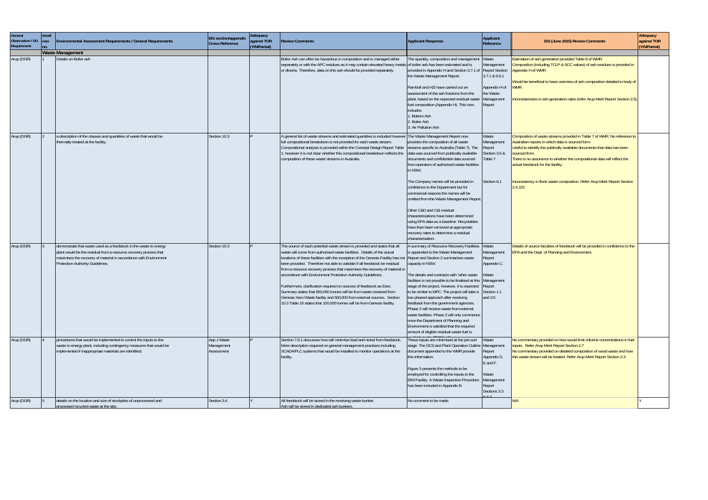| General<br>Observation / DG<br>Requirement | excel<br>row<br>no. | <b>Environmental Assessment Requirements / General Requirements</b>                                                                                                                                                                             | EIS section/appendix<br><b>Cross-Reference</b> | Adequacy<br>against TOR<br>(Y/N/Partial) | <b>Review Comments</b>                                                                                                                                                                                                                                                                                                                                                                                                                                                                                                                                                                                                                                                                                                                                                                                         | <b>Applicant Response</b>                                                                                                                                                                                                                                                                                                                                                                                                                                                                                                                                                                                                  | Applicant<br>Reference                                                                                              | EIS (June 2015) Review Comments                                                                                                                                                                                                                                                                                                                                                                                                            | Adequacy<br>against TOR<br>(Y/N/Partial) |
|--------------------------------------------|---------------------|-------------------------------------------------------------------------------------------------------------------------------------------------------------------------------------------------------------------------------------------------|------------------------------------------------|------------------------------------------|----------------------------------------------------------------------------------------------------------------------------------------------------------------------------------------------------------------------------------------------------------------------------------------------------------------------------------------------------------------------------------------------------------------------------------------------------------------------------------------------------------------------------------------------------------------------------------------------------------------------------------------------------------------------------------------------------------------------------------------------------------------------------------------------------------------|----------------------------------------------------------------------------------------------------------------------------------------------------------------------------------------------------------------------------------------------------------------------------------------------------------------------------------------------------------------------------------------------------------------------------------------------------------------------------------------------------------------------------------------------------------------------------------------------------------------------------|---------------------------------------------------------------------------------------------------------------------|--------------------------------------------------------------------------------------------------------------------------------------------------------------------------------------------------------------------------------------------------------------------------------------------------------------------------------------------------------------------------------------------------------------------------------------------|------------------------------------------|
|                                            |                     | <b>Waste Management</b>                                                                                                                                                                                                                         |                                                |                                          |                                                                                                                                                                                                                                                                                                                                                                                                                                                                                                                                                                                                                                                                                                                                                                                                                |                                                                                                                                                                                                                                                                                                                                                                                                                                                                                                                                                                                                                            |                                                                                                                     |                                                                                                                                                                                                                                                                                                                                                                                                                                            |                                          |
| Arup (DGR)                                 |                     | Details on Boiler ash                                                                                                                                                                                                                           |                                                |                                          | Boiler Ash can often be hazardous in composition and is managed either<br>separately or with the APC residues as it may contain elevated heavy metals of boiler ash has been estimated and is<br>or dioxins. Therefore, data on this ash should be provided separately.                                                                                                                                                                                                                                                                                                                                                                                                                                                                                                                                        | The quantity, composition and management<br>provided in Appendix H and Section 3.7.1 of<br>the Waste Management Report.<br>Ramboll and HZI have carried out an<br>assessment of the ash fractions from the<br>plant, based on the expected residual wast<br>fuel composition (Appendix H). This now<br>includes:<br>. Bottom Ash<br>2. Boiler Ash<br>3. Air Pollution Ash                                                                                                                                                                                                                                                  | Waste<br>Management<br><b>Report Section</b><br>3.7.1 & 6.6.1<br>Appendix H of<br>the Waste<br>Management<br>Report | Estimation of ash generation provided Table 8 of WMR.<br>Composition (including TCLP & SCC values) of ash residues is provided in<br>Appendix H of WMR.<br>Would be beneficial to have overview of ash composition detailed in body of<br>WMR.<br>Inconsistencies in ash generation rates (refer Arup Merit Report Section 2.5)                                                                                                            |                                          |
| Arup (DGR)                                 |                     | a description of the classes and quantities of waste that would be<br>thermally treated at the facility;                                                                                                                                        | Section 10.3                                   |                                          | A general list of waste streams and estimated quantities is included however The Waste Management Report now<br>full compositional breakdown is not provided for each waste stream.<br>Compositional analysis is provided within the Concept Design Report Table<br>1, however it is not clear whether this compositional breakdown reflects the<br>composition of these waste streams in Australia.                                                                                                                                                                                                                                                                                                                                                                                                           | provides the composition of all waste<br>streams specific to Australia (Table 7). The<br>data was sourced from publically available<br>documents and confidential data sourced<br>from operators of authorised waste facilities<br>in NSW.<br>The Company names will be provided in<br>confidence to the Department but for<br>commercial reasons the names will be<br>omitted from the Waste Management Report.                                                                                                                                                                                                           | Waste<br>Management<br>Report<br>Section 3.5 &<br>Table 7<br>Section 6.1                                            | Composition of waste streams provided in Table 7 of WMR. No reference to<br>Australian reports in which data is sourced form.<br>Useful to identify the publically available documents that data has been<br>sourced from.<br>There is no assurance to whether the compositional data will reflect the<br>actual feedstock for the facility.<br>Inconsistency in flock waste composition. Refer Arup Merit Report Section<br>$2.4.$ J $23$ |                                          |
|                                            |                     |                                                                                                                                                                                                                                                 |                                                |                                          |                                                                                                                                                                                                                                                                                                                                                                                                                                                                                                                                                                                                                                                                                                                                                                                                                | Other C&D and C&I residual<br>characterisations have been determined<br>using EPA data as a baseline. Recyclables<br>have then been removed at appropriate<br>recovery rates to determine a residual<br>characterisation.                                                                                                                                                                                                                                                                                                                                                                                                  |                                                                                                                     |                                                                                                                                                                                                                                                                                                                                                                                                                                            |                                          |
| Arup (DGR)                                 |                     | demonstrate that waste used as a feedstock in the waste to energy<br>plant would be the residual from a resource recovery process that<br>maximises the recovery of material in accordance with Environment<br>Protection Authority Guidelines; | Section 10.3                                   |                                          | The source of each potential waste stream is provided and states that all<br>waste will come from authorised waste facilities. Details of the actual<br>locations of these facilities with the exception of the Genesis Facility has not Report and Section 2 summarises waste<br>been provided. Therefore not able to validate if all feedstock be residual<br>from a resource recovery process that maximises the recovery of material in<br>accordance with Environment Protection Authority Guidelines;<br>Furthermore, clarification required on sources of feedstock as Exec<br>Summary states that 850,000 tonnes will be from waste received from<br>Genesis Xero Waste facility and 500,000 from external sources. Section<br>10.3 Table 16 states that 100,000 tonnes will be from Genesis facility. | A summary of Resource Recovery Facilities<br>is appended to the Waste Management<br>capacity in NSW.<br>The details and contracts with 'other waste<br>facilities is not possible to be finalised at this<br>stage of the project, however, it is expected<br>to be similar to MPC. The project will take a<br>two phased approach after receiving<br>feedback from the government agencies.<br>Phase 2 will receive waste from external<br>waste facilities. Phase 2 will only commence<br>once the Department of Planning and<br>Environment is satisfied that the required<br>amount of eligible residual waste fuel is | Waste<br>Management<br>Report<br>Appendix C.<br>Waste<br>Management<br>Report<br>Section 1.1<br>and $3.5$           | Details of source faculties of feedstock will be provided in confidence to the<br><b>EPA and the Dept. of Planning and Environment.</b>                                                                                                                                                                                                                                                                                                    |                                          |
| Arup (DGR)                                 |                     | procedures that would be implemented to control the inputs to the<br>waste to energy plant, including contingency measures that would be<br>implemented if inappropriate materials are identified;                                              | App J Waste<br>Management<br>Assessment        |                                          | Section 7.6.1 discusses how will minimise lead and nickel from feedstock<br>More description required on general management practises including<br>SCADA/PLC systems that would be installed to monitor operations at the<br>facility.                                                                                                                                                                                                                                                                                                                                                                                                                                                                                                                                                                         | These inputs are minimised at the pre-sort<br>stage. The DCS and Plant Operation Outline<br>document appended to the WMR provide<br>this information.<br>Figure 3 presents the methods to be<br>employed for controlling the inputs to the<br>EfW Facility. A Waste Inspection Procedure<br>has been included in Appendix B                                                                                                                                                                                                                                                                                                | Waste<br>Management<br>Report<br>Appendix D,<br>E and F.<br>Waste<br>Management<br>Report<br>Sections 3.3<br>.62    | No commentary provided on how would limit chlorine concentrations in fuel<br>inputs. Refer Arup Merit Report Section 2.7<br>No commentary provided on detailed composition of wood waste and how<br>this waste stream will be treated. Refer Arup Merit Report Section 2.3                                                                                                                                                                 |                                          |
| Arup (DGR)                                 |                     | details on the location and size of stockpiles of unprocessed and<br>processed recycled waste at the site;                                                                                                                                      | Section 3.4                                    |                                          | All feedstock will be stored in the receiving waste bunker.<br>Ash will be stored in dedicated ash bunkers.                                                                                                                                                                                                                                                                                                                                                                                                                                                                                                                                                                                                                                                                                                    | No comment to be made.                                                                                                                                                                                                                                                                                                                                                                                                                                                                                                                                                                                                     |                                                                                                                     | N/A                                                                                                                                                                                                                                                                                                                                                                                                                                        |                                          |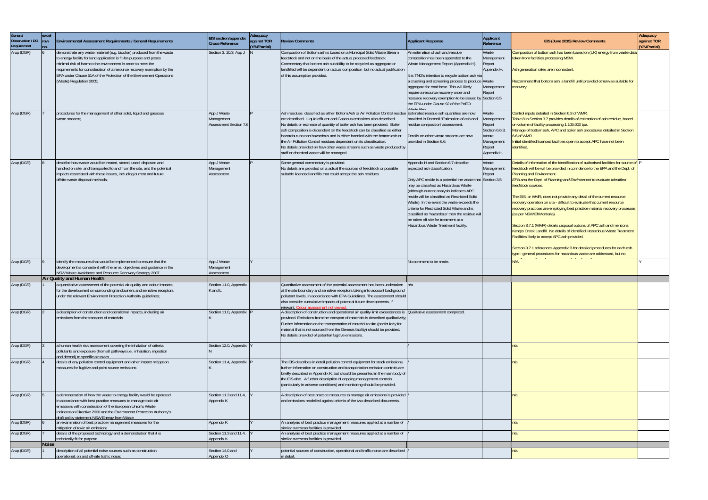| General<br>Observation / DG   row<br>Requirement | excel<br>no. | Environmental Assessment Requirements / General Requirements                                                                                                                                                                                                                                                                                                                                | EIS section/appendix<br>Cross-Reference                    | Adequacy<br>against TOR<br>(Y/N/Partial) | <b>Review Comments</b>                                                                                                                                                                                                                                                                                                                                                                                                                                                                                                                                                                                                              | <b>Applicant Response</b>                                                                                                                                                                                                                                                                                                                                                                                                                                                                          | Applicant<br>Reference                                                                          | EIS (June 2015) Review Comments                                                                                                                                                                                                                                                                                                                                                                                                                                                                                                                                                                                                                                                                                                                                                                                                                                                                                        | Adequacy<br>against TOR<br>(Y/N/Partial) |
|--------------------------------------------------|--------------|---------------------------------------------------------------------------------------------------------------------------------------------------------------------------------------------------------------------------------------------------------------------------------------------------------------------------------------------------------------------------------------------|------------------------------------------------------------|------------------------------------------|-------------------------------------------------------------------------------------------------------------------------------------------------------------------------------------------------------------------------------------------------------------------------------------------------------------------------------------------------------------------------------------------------------------------------------------------------------------------------------------------------------------------------------------------------------------------------------------------------------------------------------------|----------------------------------------------------------------------------------------------------------------------------------------------------------------------------------------------------------------------------------------------------------------------------------------------------------------------------------------------------------------------------------------------------------------------------------------------------------------------------------------------------|-------------------------------------------------------------------------------------------------|------------------------------------------------------------------------------------------------------------------------------------------------------------------------------------------------------------------------------------------------------------------------------------------------------------------------------------------------------------------------------------------------------------------------------------------------------------------------------------------------------------------------------------------------------------------------------------------------------------------------------------------------------------------------------------------------------------------------------------------------------------------------------------------------------------------------------------------------------------------------------------------------------------------------|------------------------------------------|
| Arup (DGR)                                       |              | demonstrate any waste material (e.g. biochar) produced from the waste<br>to energy facility for land application is fit-for-purpose and poses<br>minimal risk of harm to the environment in order to meet the<br>requirements for consideration of a resource recovery exemption by the<br>EPA under Clause 51A of the Protection of the Environment Operations<br>(Waste) Regulation 2005; | Section 3, 10.3, App J                                     |                                          | Composition of Bottom ash is based on a Municipal Solid Waste Stream<br>feedstock and not on the basis of the actual proposed feedstock.<br>Commentary that bottom ash suitability to be recycled as aggregate or<br>landfilled will be dependent on actual composition but no actual justification<br>of this assumption provided.                                                                                                                                                                                                                                                                                                 | An estimation of ash and residue<br>composition has been appended to the<br>Waste Management Report (Appendix H).<br>It is TNG's intention to recycle bottom ash via<br>a crushing and screening process to produce Waste<br>aggregate for road base. This will likely<br>require a resource recovery order and<br>resource recovery exemption to be issued by Section 6.5<br>the EPA under Clause 92 of the PoEO                                                                                  | Waste<br>Management<br>Report<br>Appendix H.<br>Management<br>Report                            | Composition of bottom ash has been based on (UK) energy from waste data<br>taken from facilities processing MSW.<br>Ash generation rates are inconsistent<br>Recommend that bottom ash is landfill until provided otherwise suitable for<br>ecovery.                                                                                                                                                                                                                                                                                                                                                                                                                                                                                                                                                                                                                                                                   |                                          |
| Arup (DGR)                                       |              | procedures for the management of other solid, liquid and gaseous<br>waste streams;                                                                                                                                                                                                                                                                                                          | App J Waste<br>Management<br><b>Assessment Section 7.6</b> |                                          | Ash residues classified as either Bottom Ash or Air Pollution Control residue Estimated residue ash quantities are now<br>are described. Liquid effluent and Gaseous emissions also described.<br>No details or estimate of quantity of boiler ash has been provided. Boiler<br>ash composition is dependent on the feedstock can be classified as either<br>hazardous no non hazardous and is either handled with the bottom ash or<br>the Air Pollution Control residues dependent on its classification.<br>No details provided on how other waste streams such as waste produced by<br>staff or chemical waste will be managed. | provided in Ramboll 'Estimation of ash and<br>residue composition' assessment.<br>Details on other waste streams are now<br>provided in Section 6.6.                                                                                                                                                                                                                                                                                                                                               | Waste<br>Management<br>Report<br>Section 6.6.3,<br>Waste<br>Management<br>Report<br>Appendix H. | Control inputs detailed in Section 6.3 of WMR.<br>Table 8 in Section 3.7 provides details of estimation of ash residue, based<br>on volume of facility processing 1,105,000 tpa.<br>Manage of bottom ash, APC and boiler ash procedures detailed in Section<br>6.6 of WMR.<br>Initial identified licenced facilities open to accept APC have not been<br>identified.                                                                                                                                                                                                                                                                                                                                                                                                                                                                                                                                                   |                                          |
| Arup (DGR)                                       |              | describe how waste would be treated, stored, used, disposed and<br>handled on site, and transported to and from the site, and the potential<br>impacts associated with these issues, including current and future<br>offsite waste disposal methods;                                                                                                                                        | App J Waste<br>Management<br>Assessment                    |                                          | Some general commentary is provided<br>No details are provided on a actual the sources of feedstock or possible<br>suitable licenced landfills that could accept the ash residues.                                                                                                                                                                                                                                                                                                                                                                                                                                                  | Appendix H and Section 6.7 describe<br>expected ash classification.<br>Only APC reside is a potential the waste that Section 3.5<br>may be classified as Hazardous Waste<br>(although current analysis indicates APC<br>reside will be classified as Restricted Solid<br>Waste). In the event the waste exceeds the<br>criteria for Restricted Solid Waste and is<br>classified as 'hazardous' then the residue will<br>be taken off site for treatment at a<br>Hazardous Waste Treatment facility | Waste<br>Management<br>Report                                                                   | Details of information of the identification of authorised facilities for source of<br>feedstock will be will be provided in confidence to the EPA and the Dept. of<br>Planning and Environment.<br>EPA and the Dept. of Planning and Environment to evaluate identified<br>feedstock sources.<br>The EIS, or WMR, does not provide any detail of the current resource<br>recovery operation on site - difficult to evaluate that current resource<br>recovery practices are employing best practice material recovery processes<br>(as per NSW EfW criteria).<br>Section 3.7.1 (WMR) details disposal options of APC ash and mentions<br>Kemps Creek Landfill. No details of identified Hazardous Waste Treatment<br>Facilities likely to accept APC ash provided.<br>Section 3.7.1 references Appendix B for detailed procedures for each ash<br>type - general procedures for hazardous waste are addressed, but no |                                          |
| Arup (DGR)                                       |              | identify the measures that would be implemented to ensure that the<br>development is consistent with the aims, objectives and guidance in the<br>NSW Waste Avoidance and Resource Recovery Strategy 2007.                                                                                                                                                                                   | App J Waste<br>Management<br>Assessment                    |                                          |                                                                                                                                                                                                                                                                                                                                                                                                                                                                                                                                                                                                                                     | No comment to be made                                                                                                                                                                                                                                                                                                                                                                                                                                                                              |                                                                                                 | ۷/A                                                                                                                                                                                                                                                                                                                                                                                                                                                                                                                                                                                                                                                                                                                                                                                                                                                                                                                    |                                          |
|                                                  |              | Air Quality and Human Health                                                                                                                                                                                                                                                                                                                                                                |                                                            |                                          |                                                                                                                                                                                                                                                                                                                                                                                                                                                                                                                                                                                                                                     |                                                                                                                                                                                                                                                                                                                                                                                                                                                                                                    |                                                                                                 |                                                                                                                                                                                                                                                                                                                                                                                                                                                                                                                                                                                                                                                                                                                                                                                                                                                                                                                        |                                          |
| Arup (DGR)                                       |              | a quantitative assessment of the potential air quality and odour impacts<br>for the development on surrounding landowners and sensitive receptors<br>under the relevant Environment Protection Authority guidelines;                                                                                                                                                                        | Section 11.0, Appendix<br>K and L                          |                                          | Quantitative assessment of the potential assessment has been undertaken<br>at the site boundary and sensitive receptors taking into account background<br>pollutant levels, in accordance with EPA Guidelines. The assessment should<br>also consider cumulative impacts of potential future developments, if<br>relevant. Odour assessment not viewed.                                                                                                                                                                                                                                                                             |                                                                                                                                                                                                                                                                                                                                                                                                                                                                                                    |                                                                                                 |                                                                                                                                                                                                                                                                                                                                                                                                                                                                                                                                                                                                                                                                                                                                                                                                                                                                                                                        |                                          |
| Arup (DGR)                                       |              | a description of construction and operational impacts, including air<br>emissions from the transport of materials                                                                                                                                                                                                                                                                           | Section 11.0, Appendix P                                   |                                          | A description of construction and operational air quality limit exceedances is<br>provided. Emissions from the transport of materials is described qualitatively;<br>Further information on the transportation of material to site (particularly for<br>material that is not sourced from the Genesis facility) should be provided.<br>No details provided of potential fugitive emissions.                                                                                                                                                                                                                                         | Qualitative assessment completed.                                                                                                                                                                                                                                                                                                                                                                                                                                                                  |                                                                                                 |                                                                                                                                                                                                                                                                                                                                                                                                                                                                                                                                                                                                                                                                                                                                                                                                                                                                                                                        |                                          |
| Arup (DGR)                                       |              | a human health risk assessment covering the inhalation of criteria<br>pollutants and exposure (from all pathways i.e., inhalation, ingestion<br>and dermal) to specific air toxics                                                                                                                                                                                                          | Section 12.0, Appendix                                     |                                          |                                                                                                                                                                                                                                                                                                                                                                                                                                                                                                                                                                                                                                     |                                                                                                                                                                                                                                                                                                                                                                                                                                                                                                    |                                                                                                 |                                                                                                                                                                                                                                                                                                                                                                                                                                                                                                                                                                                                                                                                                                                                                                                                                                                                                                                        |                                          |
| Arup (DGR)                                       |              | details of any pollution control equipment and other impact mitigation<br>measures for fugitive and point source emissions                                                                                                                                                                                                                                                                  | Section 11.4, Appendix P                                   |                                          | The EIS describes in detail pollution control equipment for stack emissions;<br>further information on construction and transportation emission controls are<br>briefly described in Appendix K, but should be presented in the main body of<br>the EIS also. A further description of ongoing management controls<br>(particularly in adverse conditions) and monitoring should be provided.                                                                                                                                                                                                                                       |                                                                                                                                                                                                                                                                                                                                                                                                                                                                                                    |                                                                                                 | n/a                                                                                                                                                                                                                                                                                                                                                                                                                                                                                                                                                                                                                                                                                                                                                                                                                                                                                                                    |                                          |
| Arup (DGR)                                       |              | a demonstration of how the waste to energy facility would be operated<br>in accordance with best practice measures to manage toxic air<br>emissions with consideration of the European Union's Waste<br>Incineration Directive 2000 and the Environment Protection Authority's<br>draft policy statement NSW Energy from Waste                                                              | Section 11.3 and 11,4,<br>Appendix K                       |                                          | A description of best practice measures to manage air emissions is provided<br>and emissions modelled against criteria of the two described documents.                                                                                                                                                                                                                                                                                                                                                                                                                                                                              |                                                                                                                                                                                                                                                                                                                                                                                                                                                                                                    |                                                                                                 |                                                                                                                                                                                                                                                                                                                                                                                                                                                                                                                                                                                                                                                                                                                                                                                                                                                                                                                        |                                          |
| Arup (DGR)                                       |              | an examination of best practice management measures for the<br>mitigation of toxic air emissions                                                                                                                                                                                                                                                                                            | Appendix K                                                 |                                          | An analysis of best practice management measures applied at a number of<br>similar overseas facilities is provided.                                                                                                                                                                                                                                                                                                                                                                                                                                                                                                                 |                                                                                                                                                                                                                                                                                                                                                                                                                                                                                                    |                                                                                                 | n/a                                                                                                                                                                                                                                                                                                                                                                                                                                                                                                                                                                                                                                                                                                                                                                                                                                                                                                                    |                                          |
| Arup (DGR)                                       |              | details of the proposed technology and a demonstration that it is<br>technically fit for purpose                                                                                                                                                                                                                                                                                            | Section 11.3 and 11,4,<br>Appendix K                       |                                          | An analysis of best practice management measures applied at a number of<br>similar overseas facilities is provided.                                                                                                                                                                                                                                                                                                                                                                                                                                                                                                                 |                                                                                                                                                                                                                                                                                                                                                                                                                                                                                                    |                                                                                                 |                                                                                                                                                                                                                                                                                                                                                                                                                                                                                                                                                                                                                                                                                                                                                                                                                                                                                                                        |                                          |
|                                                  | Noise        |                                                                                                                                                                                                                                                                                                                                                                                             |                                                            |                                          |                                                                                                                                                                                                                                                                                                                                                                                                                                                                                                                                                                                                                                     |                                                                                                                                                                                                                                                                                                                                                                                                                                                                                                    |                                                                                                 |                                                                                                                                                                                                                                                                                                                                                                                                                                                                                                                                                                                                                                                                                                                                                                                                                                                                                                                        |                                          |
| Arup (DGR)                                       |              | description of all potential noise sources such as construction,<br>operational, on and off-site traffic noise;                                                                                                                                                                                                                                                                             | Section 14,0 and<br>Appendix O                             |                                          | potential sources of construction, operational and traffic noise are described<br>in detail.                                                                                                                                                                                                                                                                                                                                                                                                                                                                                                                                        |                                                                                                                                                                                                                                                                                                                                                                                                                                                                                                    |                                                                                                 | n/a                                                                                                                                                                                                                                                                                                                                                                                                                                                                                                                                                                                                                                                                                                                                                                                                                                                                                                                    |                                          |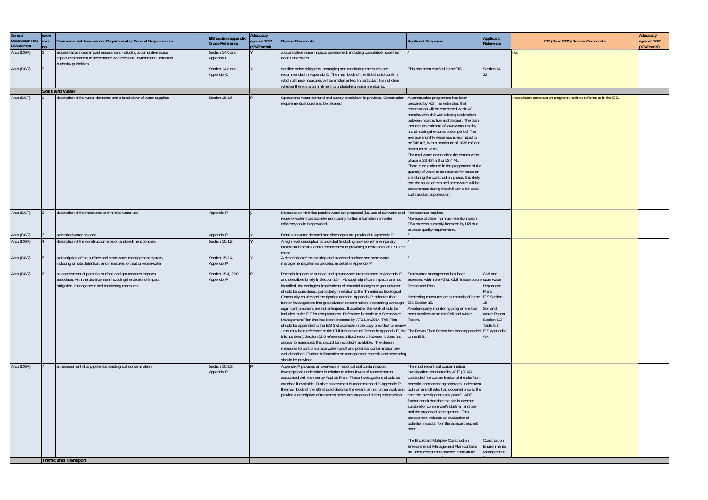| General<br>Observation / DG<br>Requirement | excel<br><b>row</b><br>no. | <b>Environmental Assessment Requirements / General Requirements</b>                                                                                                             | <b>EIS</b> section/appendix<br>Cross-Reference | Adequacy<br>against TOR<br>(Y/N/Partial) | <b>Review Comments</b>                                                                                                                                                                                                                                                                                                                                                                                                                                                                                                                                                                                                                                                                                                                                                                                                                                                                                                                                                                                                                                                                                                                                                                                                    | <b>Applicant Response</b>                                                                                                                                                                                                                                                                                                                                                                                                                                                                                                                                                                                                                                                                                                                               | Applicant<br>Reference                                                                                                       | EIS (June 2015) Review Comments                                     | Adequacy<br>against TOR<br>(Y/N/Partial) |
|--------------------------------------------|----------------------------|---------------------------------------------------------------------------------------------------------------------------------------------------------------------------------|------------------------------------------------|------------------------------------------|---------------------------------------------------------------------------------------------------------------------------------------------------------------------------------------------------------------------------------------------------------------------------------------------------------------------------------------------------------------------------------------------------------------------------------------------------------------------------------------------------------------------------------------------------------------------------------------------------------------------------------------------------------------------------------------------------------------------------------------------------------------------------------------------------------------------------------------------------------------------------------------------------------------------------------------------------------------------------------------------------------------------------------------------------------------------------------------------------------------------------------------------------------------------------------------------------------------------------|---------------------------------------------------------------------------------------------------------------------------------------------------------------------------------------------------------------------------------------------------------------------------------------------------------------------------------------------------------------------------------------------------------------------------------------------------------------------------------------------------------------------------------------------------------------------------------------------------------------------------------------------------------------------------------------------------------------------------------------------------------|------------------------------------------------------------------------------------------------------------------------------|---------------------------------------------------------------------|------------------------------------------|
| Arup (DGR)                                 |                            | a quantitative noise impact assessment including a cumulative noise<br>impact assessment in accordance with relevant Environment Protection<br>Authority quidelines             | Section 14,0 and<br>Appendix O                 |                                          | a quantitative noise impacts assessment, including cumulative noise has<br>been undertaken.                                                                                                                                                                                                                                                                                                                                                                                                                                                                                                                                                                                                                                                                                                                                                                                                                                                                                                                                                                                                                                                                                                                               |                                                                                                                                                                                                                                                                                                                                                                                                                                                                                                                                                                                                                                                                                                                                                         |                                                                                                                              |                                                                     |                                          |
| Arup (DGR)                                 |                            |                                                                                                                                                                                 | Section 14,0 and<br>Appendix O                 |                                          | detailed noise mitigation, managing and monitoring measures are<br>recommended in Appendix O. The main body of the EIS should confirm<br>which of these measures will be implemented. In particular, it is not clear<br>whether there is a commitment to undertaking noise monitoring.                                                                                                                                                                                                                                                                                                                                                                                                                                                                                                                                                                                                                                                                                                                                                                                                                                                                                                                                    | This has been clarified in the EIS.                                                                                                                                                                                                                                                                                                                                                                                                                                                                                                                                                                                                                                                                                                                     | Section 14,                                                                                                                  |                                                                     |                                          |
|                                            |                            | <b>Soils and Water</b>                                                                                                                                                          |                                                |                                          |                                                                                                                                                                                                                                                                                                                                                                                                                                                                                                                                                                                                                                                                                                                                                                                                                                                                                                                                                                                                                                                                                                                                                                                                                           |                                                                                                                                                                                                                                                                                                                                                                                                                                                                                                                                                                                                                                                                                                                                                         |                                                                                                                              |                                                                     |                                          |
| Arup (DGR)                                 |                            | description of the water demands and a breakdown of water supplies                                                                                                              | Section 15.3.6                                 |                                          | Operational water demand and supply breakdown is provided. Construction   A construction programme has been<br>requirements should also be detailed.                                                                                                                                                                                                                                                                                                                                                                                                                                                                                                                                                                                                                                                                                                                                                                                                                                                                                                                                                                                                                                                                      | prepared by HZI. It is estimated that<br>construction will be completed within 43<br>months, with civil works being undertaken<br>between months five and thirteen. The plan<br>includes an estimate of town water use by<br>month during the construction period. The<br>average monthly water use is estimated to<br>be 546 m3, with a maximum of 1836 m3 and<br>minimum of 12 m3.<br>The total water demand for the construction<br>phase is 23.464 m3 or 23.4 ML<br>There is no estimate in the programme of the<br>quantity of water to be retained for reuse on<br>site during the construction phase. It is likely<br>that the reuse of retained stormwater will be<br>concentrated during the civil works for uses<br>such as dust suppression. |                                                                                                                              | Inconsistent construction program timelines referred to in the EIS. |                                          |
| Arup (DGR)                                 |                            | description of the measures to minimise water use                                                                                                                               | Appendix P                                     |                                          | Measures to minimise potable water are proposed (i.e. use of rainwater and No response required.<br>reuse of water from bio-retention basin); further information on water<br>efficiency could be provided.                                                                                                                                                                                                                                                                                                                                                                                                                                                                                                                                                                                                                                                                                                                                                                                                                                                                                                                                                                                                               | No reuse of water from bio-retention basin in<br>EfW process currently foreseen by HZI due<br>to water quality requirements.                                                                                                                                                                                                                                                                                                                                                                                                                                                                                                                                                                                                                            |                                                                                                                              |                                                                     |                                          |
| Arup (DGR)                                 |                            | a detailed water balance                                                                                                                                                        | Appendix P                                     |                                          | Details on water demand and discharges are provided in Appendix P.                                                                                                                                                                                                                                                                                                                                                                                                                                                                                                                                                                                                                                                                                                                                                                                                                                                                                                                                                                                                                                                                                                                                                        |                                                                                                                                                                                                                                                                                                                                                                                                                                                                                                                                                                                                                                                                                                                                                         |                                                                                                                              |                                                                     |                                          |
| Arup (DGR)                                 |                            | description of the construction erosion and sediment controls                                                                                                                   | Section 15.4.2                                 |                                          | A high level description is provided (including provision of a temporary<br>bioretention basin), and a commitment to providing a more detailed ESCP is<br>made                                                                                                                                                                                                                                                                                                                                                                                                                                                                                                                                                                                                                                                                                                                                                                                                                                                                                                                                                                                                                                                            |                                                                                                                                                                                                                                                                                                                                                                                                                                                                                                                                                                                                                                                                                                                                                         |                                                                                                                              |                                                                     |                                          |
| Arup (DGR)                                 |                            | a description of the surface and stormwater management system,<br>including on site detention, and measures to treat or reuse water                                             | Section 15.3.4,<br>Appendix P                  |                                          | A description of the existing and proposed surface and stormwater<br>management system is provided in detail in Appendix P.                                                                                                                                                                                                                                                                                                                                                                                                                                                                                                                                                                                                                                                                                                                                                                                                                                                                                                                                                                                                                                                                                               |                                                                                                                                                                                                                                                                                                                                                                                                                                                                                                                                                                                                                                                                                                                                                         |                                                                                                                              |                                                                     |                                          |
| Arup (DGR)                                 |                            | an assessment of potential surface and groundwater impacts<br>associated with the development including the details of impact<br>mitigation, management and monitoring measures | Section 15.4, 22.0.<br>Appendix P              |                                          | Potential impacts to surface and groundwater are assessed in Appendix P<br>and described briefly in Section 15.4. Although significant impacts are not<br>identified, the ecological implications of potential changes to groundwater<br>should be considered, particularly in relation to the Threatened Ecological<br>Community on site and the riparian corridor. Appendix P indicates that<br>further investigations into groundwater contamination is occurring, although<br>significant problems are not anticipated. If available, this work should be<br>included in the EIS for completeness. Reference is made to a Stormwater<br>Management Plan that has been prepared by AT& L in 2014. This Plan<br>should be appended to the EIS (not available in the copy provided for review<br>- this may be a reference to the Civil Infrastructure Report in Appendix E, bu<br>it is not clear). Section 22.0 references a flood report, however it does not<br>appear to appended; this should be included if available. The design<br>measures to control surface water runoff and potential contamination are<br>well described. Further Information on management controls and monitoring<br>should be provided. | tormwater management has been<br>ssessed within the AT&L Civil infrastructure stormwater<br>Report and Plan.<br>Monitoring measures are summarised in the<br>EIS Section 15.<br>A water-quality monitoring programme has<br>been detailed within the Soil and Water<br>Report.<br>The Brown Floor Report has been appended EIS Appendix<br>to the EIS.                                                                                                                                                                                                                                                                                                                                                                                                  | Civil and<br>Report and<br><b>Plans</b><br><b>EIS Section</b><br>15<br>Soil and<br>Water Report<br>Section 5.2,<br>Table 5.1 |                                                                     |                                          |
| Arup (DGR)                                 |                            | an assessment of any potential existing soil contamination                                                                                                                      | Section 15.3.3,<br>Appendix P                  |                                          | Appendix P provides an overview of historical soil contamination<br>investigations undertaken in relation to minor levels of contamination<br>associated with the nearby Asphalt Plant. These investigations should be<br>attached if available. Further assessment is recommended in Appendix P;<br>the main body of the EIS should describe the extent of this further work and<br>provide a description of treatment measures proposed during construction.                                                                                                                                                                                                                                                                                                                                                                                                                                                                                                                                                                                                                                                                                                                                                            | The most recent soil contamination<br>investigation conducted by ADE (2014)<br>concluded "no contamination of the site from<br>potential contaminating practices undertaken<br>both on and off site, had occurred prior to the<br>time the investigation took place". ADE<br>further concluded that the site is deemed<br>suitable for commercial/industrial land use<br>and the proposed development. This<br>assessment included an evaluation of<br>potential impacts from the adjacent asphalt<br>The Brookfield Multiplex Construction<br>Environmental Management Plan contains<br>an 'unexpected finds protocol' that will be                                                                                                                    | Construction<br>Environmental<br>Management                                                                                  |                                                                     |                                          |
|                                            |                            | <b>Traffic and Transport</b>                                                                                                                                                    |                                                |                                          |                                                                                                                                                                                                                                                                                                                                                                                                                                                                                                                                                                                                                                                                                                                                                                                                                                                                                                                                                                                                                                                                                                                                                                                                                           |                                                                                                                                                                                                                                                                                                                                                                                                                                                                                                                                                                                                                                                                                                                                                         |                                                                                                                              |                                                                     |                                          |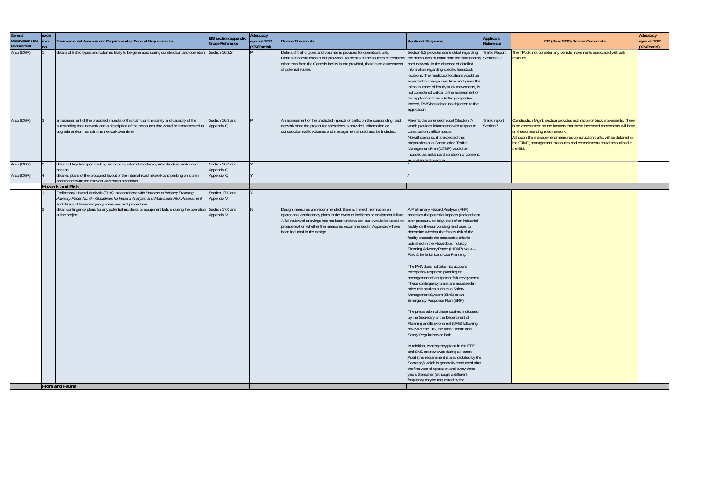| General<br>Observation / DG<br>Requirement | excel<br>row<br>no. | Environmental Assessment Requirements / General Requirements                                                                                                                                                                                     | <b>EIS</b> section/appendix<br>Cross-Reference | Adequacy<br>against TOR<br>(Y/N/Partial) | <b>Review Comments</b>                                                                                                                                                                                                                                                                                                                   | <b>Applicant Response</b>                                                                                                                                                                                                                                                                                                                                                                                                                                                                                                                                                                                                                                                                                                                                                                                                                                                                                                                                                                                                                                                                                                                                                                                             | <b>Applicant</b><br>Reference | EIS (June 2015) Review Comments                                                                                                                                                                                                                                                                                                                         | Adequacy<br>against TOR<br>(Y/N/Partial) |
|--------------------------------------------|---------------------|--------------------------------------------------------------------------------------------------------------------------------------------------------------------------------------------------------------------------------------------------|------------------------------------------------|------------------------------------------|------------------------------------------------------------------------------------------------------------------------------------------------------------------------------------------------------------------------------------------------------------------------------------------------------------------------------------------|-----------------------------------------------------------------------------------------------------------------------------------------------------------------------------------------------------------------------------------------------------------------------------------------------------------------------------------------------------------------------------------------------------------------------------------------------------------------------------------------------------------------------------------------------------------------------------------------------------------------------------------------------------------------------------------------------------------------------------------------------------------------------------------------------------------------------------------------------------------------------------------------------------------------------------------------------------------------------------------------------------------------------------------------------------------------------------------------------------------------------------------------------------------------------------------------------------------------------|-------------------------------|---------------------------------------------------------------------------------------------------------------------------------------------------------------------------------------------------------------------------------------------------------------------------------------------------------------------------------------------------------|------------------------------------------|
| Arup (DGR)                                 |                     | details of traffic types and volumes likely to be generated during construction and operation Section 16.3.2                                                                                                                                     |                                                |                                          | Details of traffic types and volumes is provided for operations only.<br>Details of construction is not provided. As details of the sources of feedstock the distribution of traffic onto the surrounding Section 6.2<br>other than from the Genesis facility is not provided, there is no assessment<br>of potential routes             | Section 6.2 provides some detail regarding<br>road network, in the absence of detailed<br>information regarding specific feedstock<br>locations. The feedstock locations would be<br>expected to change over time and, given the<br>inimal number of hourly truck movements, is<br>not considered critical to the assessment of<br>the application from a traffic perspective.<br>Indeed, RMS has raised no objection to the<br>application.                                                                                                                                                                                                                                                                                                                                                                                                                                                                                                                                                                                                                                                                                                                                                                          | <b>Traffic Report</b>         | he TIA did not consider any vehicle movements associated with ash<br>esidues.                                                                                                                                                                                                                                                                           |                                          |
| Arup (DGR)                                 |                     | an assessment of the predicted impacts of this traffic on the safety and capacity of the<br>surrounding road network and a description of the measures that would be implemented to Appendix Q<br>upgrade and/or maintain this network over time | Section 16.3 and                               |                                          | An assessment of the predicted impacts of traffic on the surrounding road<br>network once the project for operations is provided. Information on<br>construction traffic volumes and management should also be included.                                                                                                                 | Refer to the amended report (Section 7)<br>which provides information with respect to<br>construction traffic impacts.<br>Notwithstanding, it is expected that<br>preparation of a Construction Traffic<br>Management Plan (CTMP) would be<br>included as a standard condition of consent,<br>s is standard practice.                                                                                                                                                                                                                                                                                                                                                                                                                                                                                                                                                                                                                                                                                                                                                                                                                                                                                                 | Traffic report<br>Section 7   | Construction Mgmt. section provides estimation of truck movements. There<br>is no assessment on the impacts that these increased movements will have<br>on the surrounding road network.<br>Although the management measures construction traffic will be detailed in<br>the CTMP, management measures and commitments could be outlined in<br>the EIS. |                                          |
| Arup (DGR)                                 |                     | details of key transport routes, site access, internal roadways, infrastructure works and<br>parking                                                                                                                                             | Section 16.3 and<br>Appendix Q                 |                                          |                                                                                                                                                                                                                                                                                                                                          |                                                                                                                                                                                                                                                                                                                                                                                                                                                                                                                                                                                                                                                                                                                                                                                                                                                                                                                                                                                                                                                                                                                                                                                                                       |                               |                                                                                                                                                                                                                                                                                                                                                         |                                          |
| Arup (DGR)                                 |                     | detailed plans of the proposed layout of the internal road network and parking on site in<br>accordance with the relevant Australian standards                                                                                                   | Appendix Q                                     |                                          |                                                                                                                                                                                                                                                                                                                                          |                                                                                                                                                                                                                                                                                                                                                                                                                                                                                                                                                                                                                                                                                                                                                                                                                                                                                                                                                                                                                                                                                                                                                                                                                       |                               |                                                                                                                                                                                                                                                                                                                                                         |                                          |
|                                            |                     | <b>Hazards and Risk</b>                                                                                                                                                                                                                          |                                                |                                          |                                                                                                                                                                                                                                                                                                                                          |                                                                                                                                                                                                                                                                                                                                                                                                                                                                                                                                                                                                                                                                                                                                                                                                                                                                                                                                                                                                                                                                                                                                                                                                                       |                               |                                                                                                                                                                                                                                                                                                                                                         |                                          |
|                                            |                     | Preliminary Hazard Analysis (PHA) in accordance with Hazardous Industry Planning<br>Advisory Paper No. 6 - Guidelines for Hazard Analysis and Multi-Level Risk Assessment<br>and details of fire/emergency measures and procedures               | Section 17.0 and<br>Appendix V                 |                                          |                                                                                                                                                                                                                                                                                                                                          |                                                                                                                                                                                                                                                                                                                                                                                                                                                                                                                                                                                                                                                                                                                                                                                                                                                                                                                                                                                                                                                                                                                                                                                                                       |                               |                                                                                                                                                                                                                                                                                                                                                         |                                          |
|                                            |                     | detail contingency plans for any potential incidents or equipment failure during the operation Section 17.0 and<br>of the project                                                                                                                | Appendix V                                     |                                          | Design measures are recommended; there is limited information on<br>operational contingency plans in the event of incidents or equipment failure.<br>A full review of drawings has not been undertaken, but it would be useful to<br>provide text on whether the measures recommended in Appendix V have<br>been included in the design. | A Preliminary Hazard Analysis (PHA)<br>assesses the potential impacts (radiant heat,<br>over pressure, toxicity, etc.) of an industrial<br>facility on the surrounding land uses to<br>determine whether the fatality risk of the<br>facility exceeds the acceptable criteria<br>published in the Hazardous Industry<br>Planning Advisory Paper (HIPAP) No. 4 -<br>Risk Criteria for Land Use Planning.<br>The PHA does not take into account<br>emergency response planning or<br>management of equipment failures/systems.<br>These contingency plans are assessed in<br>other risk studies such as a Safety<br>Management System (SMS) or an<br>Emergency Response Plan (ERP).<br>The preparation of these studies is dictated<br>by the Secretary of the Department of<br>Planning and Environment (DPE) following<br>review of the EIS, the Work Health and<br>Safety Regulations or both.<br>In addition, contingency plans in the ERP<br>and SMS are reviewed during a Hazard<br>Audit (this requirement is also dictated by the<br>Secretary) which is generally conducted after<br>the first year of operation and every three<br>years thereafter (although a different<br>frequency maybe requested by the |                               |                                                                                                                                                                                                                                                                                                                                                         |                                          |
|                                            |                     | Flora and Fauna                                                                                                                                                                                                                                  |                                                |                                          |                                                                                                                                                                                                                                                                                                                                          |                                                                                                                                                                                                                                                                                                                                                                                                                                                                                                                                                                                                                                                                                                                                                                                                                                                                                                                                                                                                                                                                                                                                                                                                                       |                               |                                                                                                                                                                                                                                                                                                                                                         |                                          |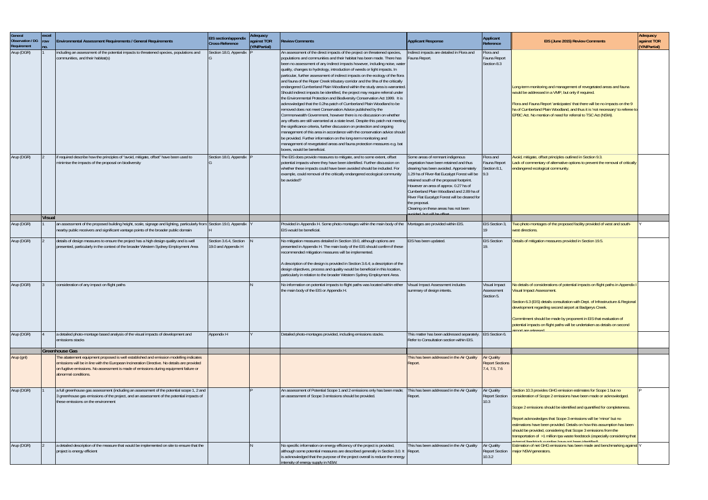| General<br><b>Observation / DG</b><br>Requirement | excel<br><b>row</b><br>no. | Environmental Assessment Requirements / General Requirements                                                                                                                                                                                                                                          | EIS section/appendix<br>Cross-Reference       | Adequacy<br>against TOR<br>(Y/N/Partial) | <b>Review Comments</b>                                                                                                                                                                                                                                                                                                                                                                                                                                                                                                                                                                                                                                                                                                                                                                                                                                                                                                                                                                                                                                                                                                                                                                                                                                                                                                                                           | <b>Applicant Response</b>                                                                                                                                                                                                                                                                                                                                                                                                                       | Applicant<br>Reference                                        | EIS (June 2015) Review Comments                                                                                                                                                                                                                                                                                                                                                                                                                                                                                                                                                                     | Adequacy<br>against TOR<br>(Y/N/Partial) |
|---------------------------------------------------|----------------------------|-------------------------------------------------------------------------------------------------------------------------------------------------------------------------------------------------------------------------------------------------------------------------------------------------------|-----------------------------------------------|------------------------------------------|------------------------------------------------------------------------------------------------------------------------------------------------------------------------------------------------------------------------------------------------------------------------------------------------------------------------------------------------------------------------------------------------------------------------------------------------------------------------------------------------------------------------------------------------------------------------------------------------------------------------------------------------------------------------------------------------------------------------------------------------------------------------------------------------------------------------------------------------------------------------------------------------------------------------------------------------------------------------------------------------------------------------------------------------------------------------------------------------------------------------------------------------------------------------------------------------------------------------------------------------------------------------------------------------------------------------------------------------------------------|-------------------------------------------------------------------------------------------------------------------------------------------------------------------------------------------------------------------------------------------------------------------------------------------------------------------------------------------------------------------------------------------------------------------------------------------------|---------------------------------------------------------------|-----------------------------------------------------------------------------------------------------------------------------------------------------------------------------------------------------------------------------------------------------------------------------------------------------------------------------------------------------------------------------------------------------------------------------------------------------------------------------------------------------------------------------------------------------------------------------------------------------|------------------------------------------|
| Arup (DGR)                                        |                            | including an assessment of the potential impacts to threatened species, populations and<br>communities, and their habitat(s)                                                                                                                                                                          | Section 18.0, Appendix                        |                                          | An assessment of the direct impacts of the project on threatened species,<br>populations and communities and their habitat has been made. There has<br>been no assessment of any indirect impacts however, including noise, water<br>quality, changes to hydrology, introduction of weeds or light impacts. In<br>particular, further assessment of indirect impacts on the ecology of the flora<br>and fauna of the Roper Creek tributary corridor and the 9ha of the critically<br>endangered Cumberland Plain Woodland within the study area is warranted<br>Should indirect impacts be identified, the project may require referral under<br>the Environmental Protection and Biodiversity Conservation Act 1999. It is<br>acknowledged that the 0.2ha patch of Cumberland Plain Woodland to be<br>removed does not meet Conservation Advice published by the<br>Commonwealth Government, however there is no discussion on whether<br>any offsets are still warranted at a state level. Despite this patch not meeting<br>the significance criteria, further discussion on protection and ongoing<br>management of this area in accordance with the conservation advice should<br>be provided. Further information on the long-term monitoring and<br>management of revegetated areas and fauna protection measures e.g. bat<br>boxes, would be beneficial. | Indirect impacts are detailed in Flora and<br>auna Report.                                                                                                                                                                                                                                                                                                                                                                                      | Flora and<br>Fauna Report<br>Section 8.3                      | Long-term monitoring and management of revegetated areas and fauna<br>would be addressed in a VMP, but only if required.<br>Flora and Fauna Report 'anticipates' that there will be no impacts on the 9<br>ha of Cumberland Plain Woodland, and thus it is 'not necessary' to referee to<br><b>EPBC Act. No mention of need for referral to TSC Act (NSW).</b>                                                                                                                                                                                                                                      |                                          |
| Arup (DGR)                                        |                            | if required describe how the principles of "avoid, mitigate, offset" have been used to<br>minimise the impacts of the proposal on biodiversity                                                                                                                                                        | Section 18.0, Appendix                        |                                          | The EIS does provide measures to mitigate, and to some extent, offset<br>potential impacts where they have been identified. Further discussion on<br>whether these impacts could have been avoided should be included. For<br>example, could removal of the critically endangered ecological community<br>be avoided?                                                                                                                                                                                                                                                                                                                                                                                                                                                                                                                                                                                                                                                                                                                                                                                                                                                                                                                                                                                                                                            | Some areas of remnant indigenous<br>eqetation have been retained and thus<br>clearing has been avoided. Approximately<br>1.29 ha of River-flat Eucalypt Forest will be<br>retained south of the proposal footprint.<br>However an area of approx. 0.27 ha of<br>Cumberland Plain Woodland and 2.89 ha of<br>River Flat Eucalypt Forest will be cleared for<br>the proposal.<br>Clearing on these areas has not been<br>indad hut will ha offsat | Flora and<br>Fauna Report<br>Section 8.1,<br>9.3              | Avoid, mitigate, offset principles outlined in Section 9.3.<br>Lack of commentary of alternative options to prevent the removal of critically<br>endangered ecological community.                                                                                                                                                                                                                                                                                                                                                                                                                   |                                          |
|                                                   | <b>Visual</b>              |                                                                                                                                                                                                                                                                                                       |                                               |                                          | Provided in Appendix H. Some photo montages within the main body of the Montages are provided within EIS.                                                                                                                                                                                                                                                                                                                                                                                                                                                                                                                                                                                                                                                                                                                                                                                                                                                                                                                                                                                                                                                                                                                                                                                                                                                        |                                                                                                                                                                                                                                                                                                                                                                                                                                                 |                                                               | Two photo montages of the proposed facility provided of west and south-                                                                                                                                                                                                                                                                                                                                                                                                                                                                                                                             |                                          |
| Arup (DGR)                                        |                            | an assessment of the proposed building height, scale, signage and lighting, particularly from Section 19.0, Appendix<br>nearby public receivers and significant vantage points of the broader public domain                                                                                           |                                               |                                          | EIS would be beneficial.                                                                                                                                                                                                                                                                                                                                                                                                                                                                                                                                                                                                                                                                                                                                                                                                                                                                                                                                                                                                                                                                                                                                                                                                                                                                                                                                         |                                                                                                                                                                                                                                                                                                                                                                                                                                                 | EIS Section 3,<br>۱9                                          | west directions.                                                                                                                                                                                                                                                                                                                                                                                                                                                                                                                                                                                    |                                          |
| Arup (DGR)                                        |                            | details of design measures to ensure the project has a high design quality and is well<br>presented, particularly in the context of the broader Western Sydney Employment Area                                                                                                                        | Section 3.6.4, Section<br>19.0 and Appendix H |                                          | No mitigation measures detailed in Section 19.0, although options are<br>presented in Appendix H. The main body of the EIS should confirm if these<br>recommended mitigation measures will be implemented.<br>A description of the design is provided in Section 3.6.4; a description of the<br>design objectives, process and quality would be beneficial in this location,<br>particularly in relation to the broader Western Sydney Employment Area.                                                                                                                                                                                                                                                                                                                                                                                                                                                                                                                                                                                                                                                                                                                                                                                                                                                                                                          | EIS has been updated.                                                                                                                                                                                                                                                                                                                                                                                                                           | <b>EIS Section</b>                                            | Details of mitigation measures provided in Section 19.5.                                                                                                                                                                                                                                                                                                                                                                                                                                                                                                                                            |                                          |
| Arup (DGR)                                        |                            | consideration of any impact on flight paths                                                                                                                                                                                                                                                           |                                               |                                          | No information on potential impacts to flight paths was located within either<br>the main body of the EIS or Appendix H.                                                                                                                                                                                                                                                                                                                                                                                                                                                                                                                                                                                                                                                                                                                                                                                                                                                                                                                                                                                                                                                                                                                                                                                                                                         | 'isual Impact Assessment includes<br>summary of design intents.                                                                                                                                                                                                                                                                                                                                                                                 | Visual Impact<br>Assessment<br>Section 5.                     | No details of considerations of potential impacts on flight paths in Appendix<br><b>Visual Impact Assessment.</b><br>Section 6.3 (EIS) details consultation with Dept. of Infrastructure & Regional<br>development regarding second airport at Badgerys Creek.<br>Commitment should be made by proponent in EIS that evaluation of<br>potential impacts on flight paths will be undertaken as details on second<br>hezseler era tromis                                                                                                                                                              |                                          |
| Arup (DGR)                                        |                            | a detailed photo-montage based analysis of the visual impacts of development and<br>emissions stacks                                                                                                                                                                                                  | Appendix H                                    |                                          | Detailed photo-montages provided, including emissions stacks.                                                                                                                                                                                                                                                                                                                                                                                                                                                                                                                                                                                                                                                                                                                                                                                                                                                                                                                                                                                                                                                                                                                                                                                                                                                                                                    | This matter has been addressed separately.<br>Refer to Consultation section within EIS.                                                                                                                                                                                                                                                                                                                                                         | <b>EIS</b> Section 6.                                         |                                                                                                                                                                                                                                                                                                                                                                                                                                                                                                                                                                                                     |                                          |
|                                                   |                            | <b>Greenhouse Gas</b>                                                                                                                                                                                                                                                                                 |                                               |                                          |                                                                                                                                                                                                                                                                                                                                                                                                                                                                                                                                                                                                                                                                                                                                                                                                                                                                                                                                                                                                                                                                                                                                                                                                                                                                                                                                                                  |                                                                                                                                                                                                                                                                                                                                                                                                                                                 |                                                               |                                                                                                                                                                                                                                                                                                                                                                                                                                                                                                                                                                                                     |                                          |
| Arup (gnl)                                        |                            | The abatement equipment proposed is well established and emission modelling indicates<br>emissions will be in line with the European Incineration Directive. No details are provided<br>on fugitive emissions. No assessment is made of emissions during equipment failure or<br>abnormal conditions. |                                               |                                          |                                                                                                                                                                                                                                                                                                                                                                                                                                                                                                                                                                                                                                                                                                                                                                                                                                                                                                                                                                                                                                                                                                                                                                                                                                                                                                                                                                  | This has been addressed in the Air Quality<br>Report.                                                                                                                                                                                                                                                                                                                                                                                           | <b>Air Quality</b><br><b>Report Sections</b><br>7.4, 7.5, 7.6 |                                                                                                                                                                                                                                                                                                                                                                                                                                                                                                                                                                                                     |                                          |
| Arup (DGR)                                        |                            | a full greenhouse gas assessment (including an assessment of the potential scope 1, 2 and<br>3 greenhouse gas emissions of the project, and an assessment of the potential impacts of<br>these emissions on the environment                                                                           |                                               |                                          | An assessment of Potential Scope 1 and 2 emissions only has been made;<br>an assessment of Scope 3 emissions should be provided.                                                                                                                                                                                                                                                                                                                                                                                                                                                                                                                                                                                                                                                                                                                                                                                                                                                                                                                                                                                                                                                                                                                                                                                                                                 | This has been addressed in the Air Quality<br>Report.                                                                                                                                                                                                                                                                                                                                                                                           | Air Quality<br>10.3                                           | Section 10.3 provides GHG emission estimates for Scope 1 but no<br>Report Section   consideration of Scope 2 emissions have been made or acknowledged.<br>Scope 2 emissions should be identified and quantified for completeness.<br>Report acknowledges that Scope 3 emissions will be 'minor' but no<br>estimations have been provided. Details on how this assumption has been<br>should be provided, considering that Scope 3 emissions from the<br>transportation of >1 million tpa waste feedstock (especially considering that<br><u> Maititnahi naad tha avan aalmuus daarahaat lematvu</u> |                                          |
| Arup (DGR)                                        |                            | a detailed description of the measure that would be implemented on site to ensure that the<br>project is energy efficient                                                                                                                                                                             |                                               |                                          | No specific information on energy efficiency of the project is provided,<br>although some potential measures are described generally in Section 3.0. It Report.<br>is acknowledged that the purpose of the project overall is reduce the energy<br>intensity of energy supply in NSW.                                                                                                                                                                                                                                                                                                                                                                                                                                                                                                                                                                                                                                                                                                                                                                                                                                                                                                                                                                                                                                                                            | This has been addressed in the Air Quality                                                                                                                                                                                                                                                                                                                                                                                                      | <b>Air Quality</b><br>10.3.2                                  | Estimation of net GHG emissions has been made and benchmarking against Y<br>Report Section   major NSW generators.                                                                                                                                                                                                                                                                                                                                                                                                                                                                                  |                                          |